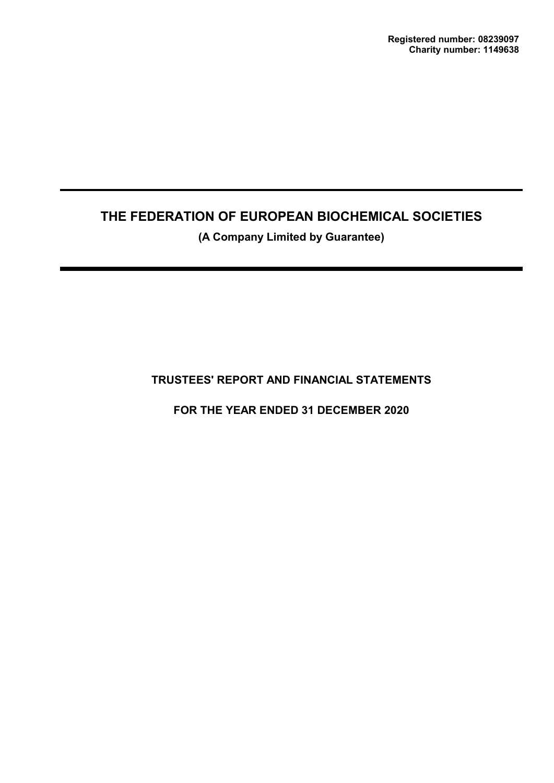**(A Company Limited by Guarantee)**

# **TRUSTEES' REPORT AND FINANCIAL STATEMENTS**

**FOR THE YEAR ENDED 31 DECEMBER 2020**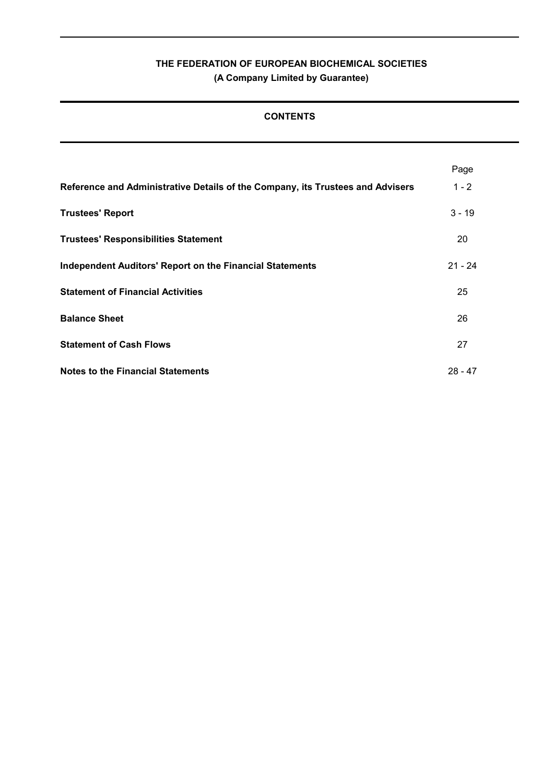# **THE FEDERATION OF EUROPEAN BIOCHEMICAL SOCIETIES (A Company Limited by Guarantee)**

# **CONTENTS**

|                                                                                | Page      |
|--------------------------------------------------------------------------------|-----------|
| Reference and Administrative Details of the Company, its Trustees and Advisers | $1 - 2$   |
| <b>Trustees' Report</b>                                                        | $3 - 19$  |
| <b>Trustees' Responsibilities Statement</b>                                    | 20        |
| <b>Independent Auditors' Report on the Financial Statements</b>                | $21 - 24$ |
| <b>Statement of Financial Activities</b>                                       | 25        |
| <b>Balance Sheet</b>                                                           | 26        |
| <b>Statement of Cash Flows</b>                                                 | 27        |
| <b>Notes to the Financial Statements</b>                                       | $28 - 47$ |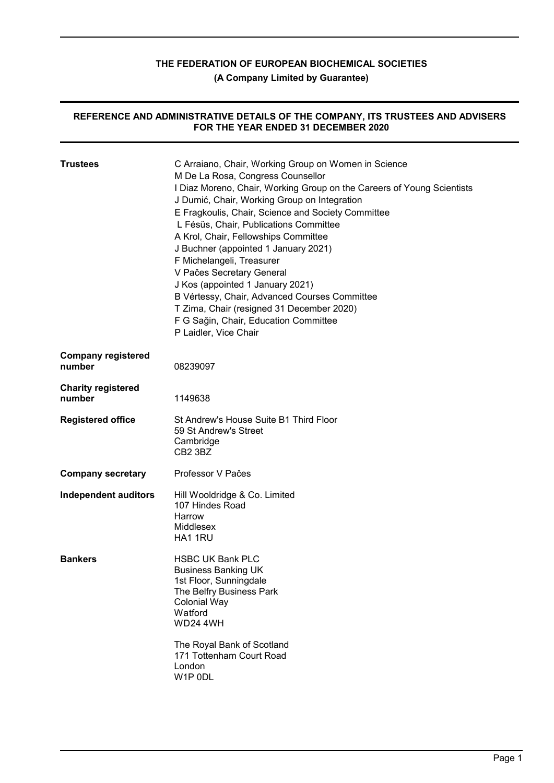**(A Company Limited by Guarantee)**

#### **REFERENCE AND ADMINISTRATIVE DETAILS OF THE COMPANY, ITS TRUSTEES AND ADVISERS FOR THE YEAR ENDED 31 DECEMBER 2020**

| <b>Trustees</b>                     | C Arraiano, Chair, Working Group on Women in Science<br>M De La Rosa, Congress Counsellor<br>I Diaz Moreno, Chair, Working Group on the Careers of Young Scientists<br>J Dumić, Chair, Working Group on Integration<br>E Fragkoulis, Chair, Science and Society Committee<br>L Fésüs, Chair, Publications Committee<br>A Krol, Chair, Fellowships Committee<br>J Buchner (appointed 1 January 2021)<br>F Michelangeli, Treasurer<br>V Pačes Secretary General<br>J Kos (appointed 1 January 2021)<br>B Vértessy, Chair, Advanced Courses Committee<br>T Zima, Chair (resigned 31 December 2020)<br>F G Sağin, Chair, Education Committee<br>P Laidler, Vice Chair |
|-------------------------------------|-------------------------------------------------------------------------------------------------------------------------------------------------------------------------------------------------------------------------------------------------------------------------------------------------------------------------------------------------------------------------------------------------------------------------------------------------------------------------------------------------------------------------------------------------------------------------------------------------------------------------------------------------------------------|
| <b>Company registered</b><br>number | 08239097                                                                                                                                                                                                                                                                                                                                                                                                                                                                                                                                                                                                                                                          |
| <b>Charity registered</b><br>number | 1149638                                                                                                                                                                                                                                                                                                                                                                                                                                                                                                                                                                                                                                                           |
| <b>Registered office</b>            | St Andrew's House Suite B1 Third Floor<br>59 St Andrew's Street<br>Cambridge<br>CB2 3BZ                                                                                                                                                                                                                                                                                                                                                                                                                                                                                                                                                                           |
| <b>Company secretary</b>            | Professor V Pačes                                                                                                                                                                                                                                                                                                                                                                                                                                                                                                                                                                                                                                                 |
| <b>Independent auditors</b>         | Hill Wooldridge & Co. Limited<br>107 Hindes Road<br>Harrow<br>Middlesex<br>HA1 1RU                                                                                                                                                                                                                                                                                                                                                                                                                                                                                                                                                                                |
| <b>Bankers</b>                      | <b>HSBC UK Bank PLC</b><br><b>Business Banking UK</b><br>1st Floor, Sunningdale<br>The Belfry Business Park<br><b>Colonial Way</b><br>Watford<br><b>WD24 4WH</b><br>The Royal Bank of Scotland<br>171 Tottenham Court Road<br>London<br>W1P 0DL                                                                                                                                                                                                                                                                                                                                                                                                                   |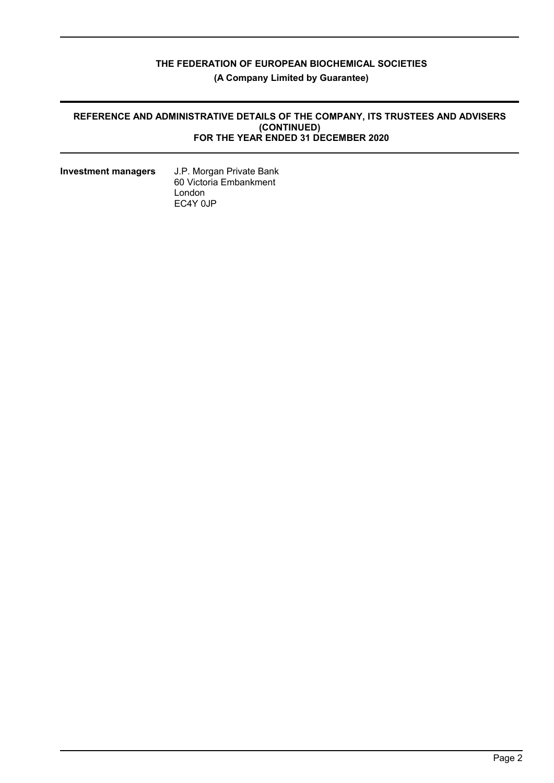# **THE FEDERATION OF EUROPEAN BIOCHEMICAL SOCIETIES (A Company Limited by Guarantee)**

#### **REFERENCE AND ADMINISTRATIVE DETAILS OF THE COMPANY, ITS TRUSTEES AND ADVISERS (CONTINUED) FOR THE YEAR ENDED 31 DECEMBER 2020**

| <b>Investment managers</b> |  |
|----------------------------|--|
|----------------------------|--|

**Investment managers** J.P. Morgan Private Bank 60 Victoria Embankment London EC4Y 0JP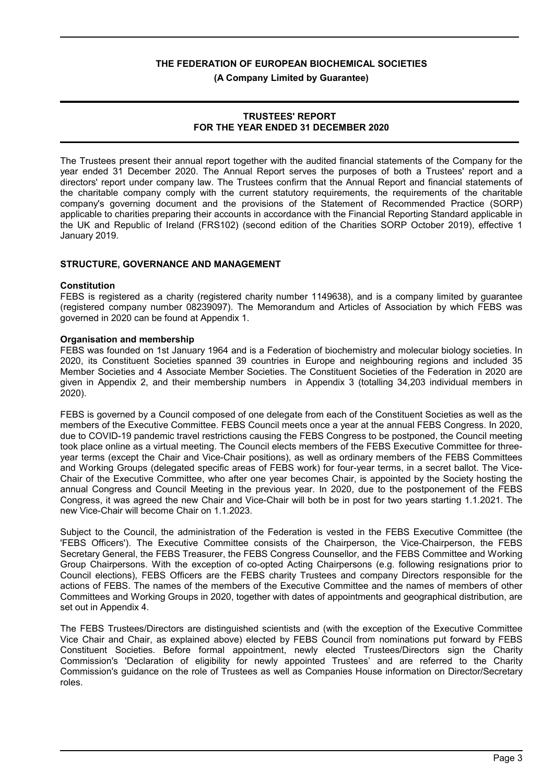**(A Company Limited by Guarantee)**

#### **TRUSTEES' REPORT FOR THE YEAR ENDED 31 DECEMBER 2020**

The Trustees present their annual report together with the audited financial statements of the Company for the year ended 31 December 2020. The Annual Report serves the purposes of both a Trustees' report and a directors' report under company law. The Trustees confirm that the Annual Report and financial statements of the charitable company comply with the current statutory requirements, the requirements of the charitable company's governing document and the provisions of the Statement of Recommended Practice (SORP) applicable to charities preparing their accounts in accordance with the Financial Reporting Standard applicable in the UK and Republic of Ireland (FRS102) (second edition of the Charities SORP October 2019), effective 1 January 2019.

#### **STRUCTURE, GOVERNANCE AND MANAGEMENT**

#### **Constitution**

FEBS is registered as a charity (registered charity number 1149638), and is a company limited by guarantee (registered company number 08239097). The Memorandum and Articles of Association by which FEBS was governed in 2020 can be found at Appendix 1.

#### **Organisation and membership**

FEBS was founded on 1st January 1964 and is a Federation of biochemistry and molecular biology societies. In 2020, its Constituent Societies spanned 39 countries in Europe and neighbouring regions and included 35 Member Societies and 4 Associate Member Societies. The Constituent Societies of the Federation in 2020 are given in Appendix 2, and their membership numbers in Appendix 3 (totalling 34,203 individual members in  $2020$ ).

FEBS is governed by a Council composed of one delegate from each of the Constituent Societies as well as the members of the Executive Committee. FEBS Council meets once a year at the annual FEBS Congress. In 2020, due to COVID-19 pandemic travel restrictions causing the FEBS Congress to be postponed, the Council meeting took place online as a virtual meeting. The Council elects members of the FEBS Executive Committee for threeyear terms (except the Chair and Vice-Chair positions), as well as ordinary members of the FEBS Committees and Working Groups (delegated specific areas of FEBS work) for four-year terms, in a secret ballot. The Vice-Chair of the Executive Committee, who after one year becomes Chair, is appointed by the Society hosting the annual Congress and Council Meeting in the previous year. In 2020, due to the postponement of the FEBS Congress, it was agreed the new Chair and Vice-Chair will both be in post for two years starting 1.1.2021. The new Vice-Chair will become Chair on 1.1.2023.

Subject to the Council, the administration of the Federation is vested in the FEBS Executive Committee (the 'FEBS Officers'). The Executive Committee consists of the Chairperson, the Vice-Chairperson, the FEBS Secretary General, the FEBS Treasurer, the FEBS Congress Counsellor, and the FEBS Committee and Working Group Chairpersons. With the exception of co-opted Acting Chairpersons (e.g. following resignations prior to Council elections), FEBS Officers are the FEBS charity Trustees and company Directors responsible for the actions of FEBS. The names of the members of the Executive Committee and the names of members of other Committees and Working Groups in 2020, together with dates of appointments and geographical distribution, are set out in Appendix 4.

The FEBS Trustees/Directors are distinguished scientists and (with the exception of the Executive Committee Vice Chair and Chair, as explained above) elected by FEBS Council from nominations put forward by FEBS Constituent Societies. Before formal appointment, newly elected Trustees/Directors sign the Charity Commission's 'Declaration of eligibility for newly appointed Trustees' and are referred to the Charity Commission's guidance on the role of Trustees as well as Companies House information on Director/Secretary roles.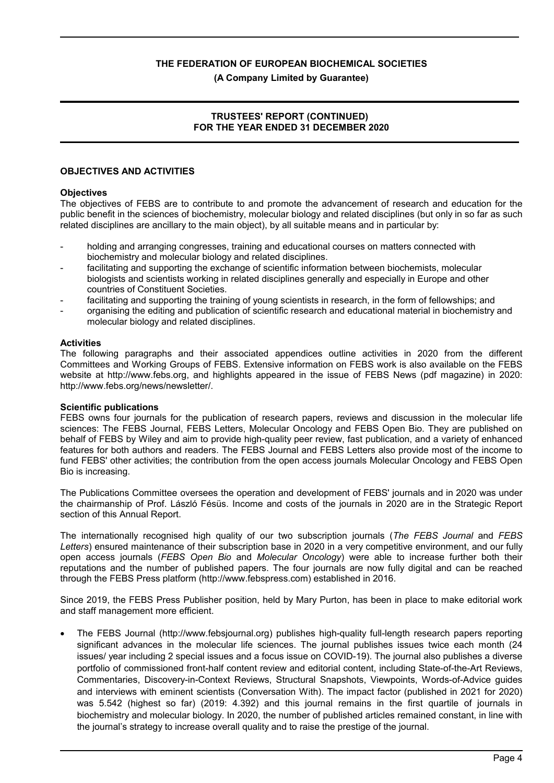#### **(A Company Limited by Guarantee)**

### **TRUSTEES' REPORT (CONTINUED) FOR THE YEAR ENDED 31 DECEMBER 2020**

#### **OBJECTIVES AND ACTIVITIES**

#### **Objectives**

The objectives of FEBS are to contribute to and promote the advancement of research and education for the public benefit in the sciences of biochemistry, molecular biology and related disciplines (but only in so far as such related disciplines are ancillary to the main object), by all suitable means and in particular by:

- holding and arranging congresses, training and educational courses on matters connected with biochemistry and molecular biology and related disciplines.
- facilitating and supporting the exchange of scientific information between biochemists, molecular biologists and scientists working in related disciplines generally and especially in Europe and other countries of Constituent Societies.
- facilitating and supporting the training of young scientists in research, in the form of fellowships; and
- organising the editing and publication of scientific research and educational material in biochemistry and molecular biology and related disciplines.

#### **Activities**

The following paragraphs and their associated appendices outline activities in 2020 from the different Committees and Working Groups of FEBS. Extensive information on FEBS work is also available on the FEBS website at http://www.febs.org, and highlights appeared in the issue of FEBS News (pdf magazine) in 2020: http://www.febs.org/news/newsletter/.

#### **Scientific publications**

FEBS owns four journals for the publication of research papers, reviews and discussion in the molecular life sciences: The FEBS Journal, FEBS Letters, Molecular Oncology and FEBS Open Bio. They are published on behalf of FEBS by Wiley and aim to provide high-quality peer review, fast publication, and a variety of enhanced features for both authors and readers. The FEBS Journal and FEBS Letters also provide most of the income to fund FEBS' other activities; the contribution from the open access journals Molecular Oncology and FEBS Open Bio is increasing.

The Publications Committee oversees the operation and development of FEBS' journals and in 2020 was under the chairmanship of Prof. László Fésüs. Income and costs of the journals in 2020 are in the Strategic Report section of this Annual Report.

The internationally recognised high quality of our two subscription journals (*The FEBS Journal* and *FEBS Letters*) ensured maintenance of their subscription base in 2020 in a very competitive environment, and our fully open access journals (*FEBS Open Bio* and *Molecular Oncology*) were able to increase further both their reputations and the number of published papers. The four journals are now fully digital and can be reached through the FEBS Press platform (http://www.febspress.com) established in 2016.

Since 2019, the FEBS Press Publisher position, held by Mary Purton, has been in place to make editorial work and staff management more efficient.

 The FEBS Journal (http://www.febsjournal.org) publishes high-quality full-length research papers reporting significant advances in the molecular life sciences. The journal publishes issues twice each month (24 issues/ year including 2 special issues and a focus issue on COVID-19). The journal also publishes a diverse portfolio of commissioned front-half content review and editorial content, including State-of-the-Art Reviews, Commentaries, Discovery-in-Context Reviews, Structural Snapshots, Viewpoints, Words-of-Advice guides and interviews with eminent scientists (Conversation With). The impact factor (published in 2021 for 2020) was 5.542 (highest so far) (2019: 4.392) and this journal remains in the first quartile of journals in biochemistry and molecular biology. In 2020, the number of published articles remained constant, in line with the journal's strategy to increase overall quality and to raise the prestige of the journal.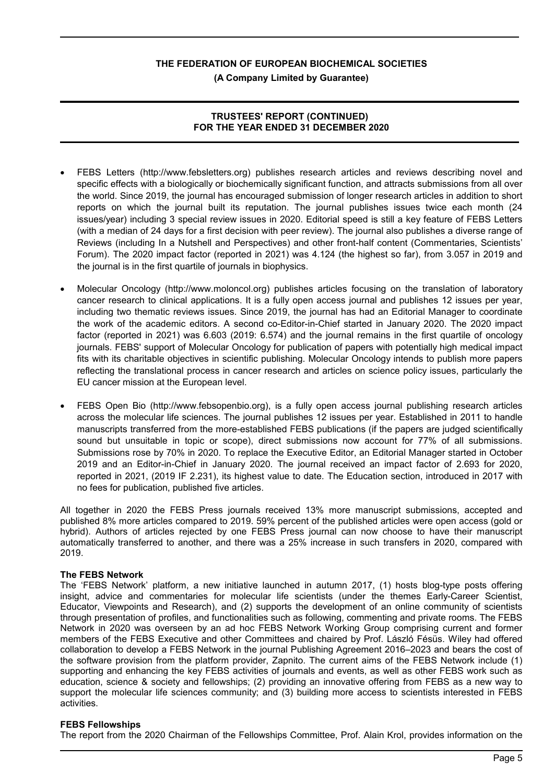**(A Company Limited by Guarantee)**

## **TRUSTEES' REPORT (CONTINUED) FOR THE YEAR ENDED 31 DECEMBER 2020**

- FEBS Letters (http://www.febsletters.org) publishes research articles and reviews describing novel and specific effects with a biologically or biochemically significant function, and attracts submissions from all over the world. Since 2019, the journal has encouraged submission of longer research articles in addition to short reports on which the journal built its reputation. The journal publishes issues twice each month (24 issues/year) including 3 special review issues in 2020. Editorial speed is still a key feature of FEBS Letters (with a median of 24 days for a first decision with peer review). The journal also publishes a diverse range of Reviews (including In a Nutshell and Perspectives) and other front-half content (Commentaries, Scientists' Forum). The 2020 impact factor (reported in 2021) was 4.124 (the highest so far), from 3.057 in 2019 and the journal is in the first quartile of journals in biophysics.
- Molecular Oncology (http://www.moloncol.org) publishes articles focusing on the translation of laboratory cancer research to clinical applications. It is a fully open access journal and publishes 12 issues per year, including two thematic reviews issues. Since 2019, the journal has had an Editorial Manager to coordinate the work of the academic editors. A second co-Editor-in-Chief started in January 2020. The 2020 impact factor (reported in 2021) was 6.603 (2019: 6.574) and the journal remains in the first quartile of oncology journals. FEBS' support of Molecular Oncology for publication of papers with potentially high medical impact fits with its charitable objectives in scientific publishing. Molecular Oncology intends to publish more papers reflecting the translational process in cancer research and articles on science policy issues, particularly the EU cancer mission at the European level.
- FEBS Open Bio (http://www.febsopenbio.org), is a fully open access journal publishing research articles across the molecular life sciences. The journal publishes 12 issues per year. Established in 2011 to handle manuscripts transferred from the more-established FEBS publications (if the papers are judged scientifically sound but unsuitable in topic or scope), direct submissions now account for 77% of all submissions. Submissions rose by 70% in 2020. To replace the Executive Editor, an Editorial Manager started in October 2019 and an Editor-in-Chief in January 2020. The journal received an impact factor of 2.693 for 2020, reported in 2021, (2019 IF 2.231), its highest value to date. The Education section, introduced in 2017 with no fees for publication, published five articles.

All together in 2020 the FEBS Press journals received 13% more manuscript submissions, accepted and published 8% more articles compared to 2019. 59% percent of the published articles were open access (gold or hybrid). Authors of articles rejected by one FEBS Press journal can now choose to have their manuscript automatically transferred to another, and there was a 25% increase in such transfers in 2020, compared with 2019.

#### **The FEBS Network**

The 'FEBS Network' platform, a new initiative launched in autumn 2017, (1) hosts blog-type posts offering insight, advice and commentaries for molecular life scientists (under the themes Early-Career Scientist, Educator, Viewpoints and Research), and (2) supports the development of an online community of scientists through presentation of profiles, and functionalities such as following, commenting and private rooms. The FEBS Network in 2020 was overseen by an ad hoc FEBS Network Working Group comprising current and former members of the FEBS Executive and other Committees and chaired by Prof. László Fésüs. Wiley had offered collaboration to develop a FEBS Network in the journal Publishing Agreement 2016–2023 and bears the cost of the software provision from the platform provider, Zapnito. The current aims of the FEBS Network include (1) supporting and enhancing the key FEBS activities of journals and events, as well as other FEBS work such as education, science & society and fellowships; (2) providing an innovative offering from FEBS as a new way to support the molecular life sciences community; and (3) building more access to scientists interested in FEBS activities.

#### **FEBS Fellowships**

The report from the 2020 Chairman of the Fellowships Committee, Prof. Alain Krol, provides information on the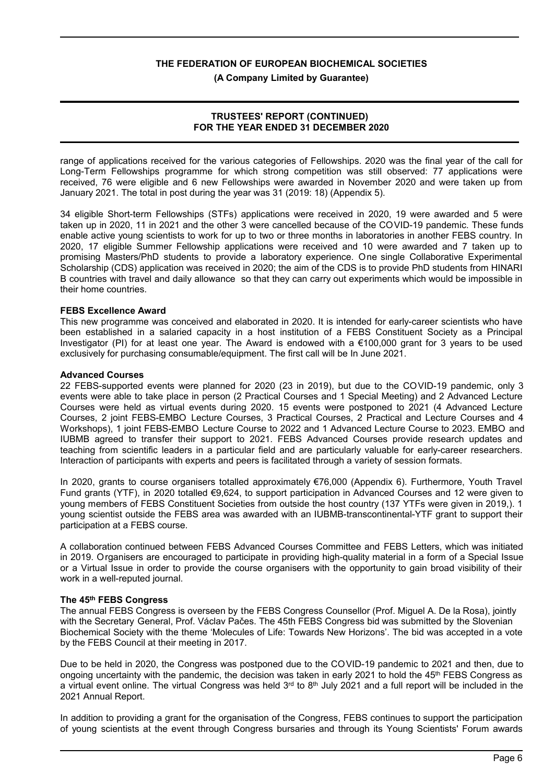**(A Company Limited by Guarantee)**

### **TRUSTEES' REPORT (CONTINUED) FOR THE YEAR ENDED 31 DECEMBER 2020**

range of applications received for the various categories of Fellowships. 2020 was the final year of the call for Long-Term Fellowships programme for which strong competition was still observed: 77 applications were received, 76 were eligible and 6 new Fellowships were awarded in November 2020 and were taken up from January 2021. The total in post during the year was 31 (2019: 18) (Appendix 5).

34 eligible Short-term Fellowships (STFs) applications were received in 2020, 19 were awarded and 5 were taken up in 2020, 11 in 2021 and the other 3 were cancelled because of the COVID-19 pandemic. These funds enable active young scientists to work for up to two or three months in laboratories in another FEBS country. In 2020, 17 eligible Summer Fellowship applications were received and 10 were awarded and 7 taken up to promising Masters/PhD students to provide a laboratory experience. One single Collaborative Experimental Scholarship (CDS) application was received in 2020; the aim of the CDS is to provide PhD students from HINARI B countries with travel and daily allowance so that they can carry out experiments which would be impossible in their home countries.

#### **FEBS Excellence Award**

This new programme was conceived and elaborated in 2020. It is intended for early-career scientists who have been established in a salaried capacity in a host institution of a FEBS Constituent Society as a Principal Investigator (PI) for at least one year. The Award is endowed with a €100,000 grant for 3 years to be used exclusively for purchasing consumable/equipment. The first call will be In June 2021.

#### **Advanced Courses**

22 FEBS-supported events were planned for 2020 (23 in 2019), but due to the COVID-19 pandemic, only 3 events were able to take place in person (2 Practical Courses and 1 Special Meeting) and 2 Advanced Lecture Courses were held as virtual events during 2020. 15 events were postponed to 2021 (4 Advanced Lecture Courses, 2 joint FEBS-EMBO Lecture Courses, 3 Practical Courses, 2 Practical and Lecture Courses and 4 Workshops), 1 joint FEBS-EMBO Lecture Course to 2022 and 1 Advanced Lecture Course to 2023. EMBO and IUBMB agreed to transfer their support to 2021. FEBS Advanced Courses provide research updates and teaching from scientific leaders in a particular field and are particularly valuable for early-career researchers. Interaction of participants with experts and peers is facilitated through a variety of session formats.

In 2020, grants to course organisers totalled approximately €76,000 (Appendix 6). Furthermore, Youth Travel Fund grants (YTF), in 2020 totalled €9,624, to support participation in Advanced Courses and 12 were given to young members of FEBS Constituent Societies from outside the host country (137 YTFs were given in 2019,). 1 young scientist outside the FEBS area was awarded with an IUBMB-transcontinental-YTF grant to support their participation at a FEBS course.

A collaboration continued between FEBS Advanced Courses Committee and FEBS Letters, which was initiated in 2019. Organisers are encouraged to participate in providing high-quality material in a form of a Special Issue or a Virtual Issue in order to provide the course organisers with the opportunity to gain broad visibility of their work in a well-reputed journal.

#### **The 45th FEBS Congress**

The annual FEBS Congress is overseen by the FEBS Congress Counsellor (Prof. Miguel A. De la Rosa), jointly with the Secretary General, Prof. Václav Pačes. The 45th FEBS Congress bid was submitted by the Slovenian Biochemical Society with the theme 'Molecules of Life: Towards New Horizons'. The bid was accepted in a vote by the FEBS Council at their meeting in 2017.

Due to be held in 2020, the Congress was postponed due to the COVID-19 pandemic to 2021 and then, due to ongoing uncertainty with the pandemic, the decision was taken in early 2021 to hold the 45<sup>th</sup> FEBS Congress as a virtual event online. The virtual Congress was held 3<sup>rd</sup> to 8<sup>th</sup> July 2021 and a full report will be included in the 2021 Annual Report.

In addition to providing a grant for the organisation of the Congress, FEBS continues to support the participation of young scientists at the event through Congress bursaries and through its Young Scientists' Forum awards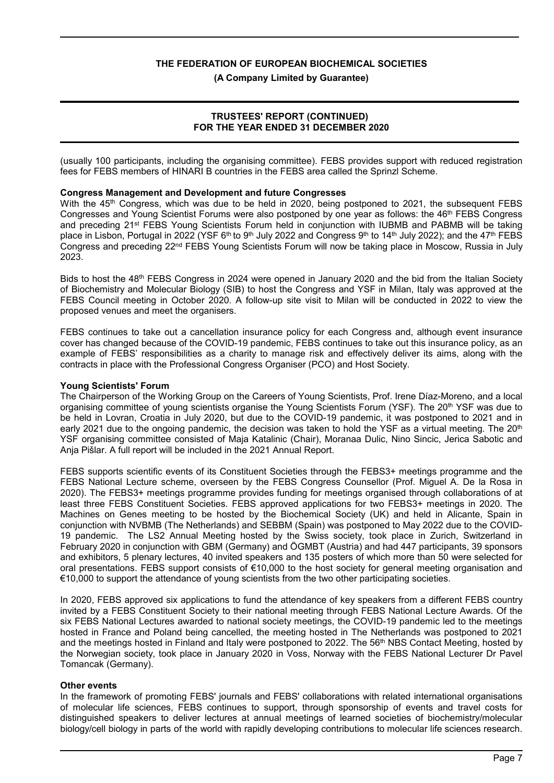**(A Company Limited by Guarantee)**

## **TRUSTEES' REPORT (CONTINUED) FOR THE YEAR ENDED 31 DECEMBER 2020**

(usually 100 participants, including the organising committee). FEBS provides support with reduced registration fees for FEBS members of HINARI B countries in the FEBS area called the Sprinzl Scheme.

#### **Congress Management and Development and future Congresses**

With the 45<sup>th</sup> Congress, which was due to be held in 2020, being postponed to 2021, the subsequent FEBS Congresses and Young Scientist Forums were also postponed by one year as follows: the 46<sup>th</sup> FEBS Congress and preceding 21<sup>st</sup> FEBS Young Scientists Forum held in conjunction with IUBMB and PABMB will be taking place in Lisbon, Portugal in 2022 (YSF 6<sup>th</sup> to 9<sup>th</sup> July 2022 and Congress 9<sup>th</sup> to 14<sup>th</sup> July 2022); and the 47<sup>th</sup> FEBS Congress and preceding 22<sup>nd</sup> FEBS Young Scientists Forum will now be taking place in Moscow, Russia in July 2023.

Bids to host the 48<sup>th</sup> FEBS Congress in 2024 were opened in January 2020 and the bid from the Italian Society of Biochemistry and Molecular Biology (SIB) to host the Congress and YSF in Milan, Italy was approved at the FEBS Council meeting in October 2020. A follow-up site visit to Milan will be conducted in 2022 to view the proposed venues and meet the organisers.

FEBS continues to take out a cancellation insurance policy for each Congress and, although event insurance cover has changed because of the COVID-19 pandemic, FEBS continues to take out this insurance policy, as an example of FEBS' responsibilities as a charity to manage risk and effectively deliver its aims, along with the contracts in place with the Professional Congress Organiser (PCO) and Host Society.

#### **Young Scientists' Forum**

The Chairperson of the Working Group on the Careers of Young Scientists, Prof. Irene Díaz-Moreno, and a local organising committee of young scientists organise the Young Scientists Forum (YSF). The 20<sup>th</sup> YSF was due to be held in Lovran, Croatia in July 2020, but due to the COVID-19 pandemic, it was postponed to 2021 and in early 2021 due to the ongoing pandemic, the decision was taken to hold the YSF as a virtual meeting. The 20<sup>th</sup> YSF organising committee consisted of Maja Katalinic (Chair), Moranaa Dulic, Nino Sincic, Jerica Sabotic and Anja Pišlar. A full report will be included in the 2021 Annual Report.

FEBS supports scientific events of its Constituent Societies through the FEBS3+ meetings programme and the FEBS National Lecture scheme, overseen by the FEBS Congress Counsellor (Prof. Miguel A. De la Rosa in 2020). The FEBS3+ meetings programme provides funding for meetings organised through collaborations of at least three FEBS Constituent Societies. FEBS approved applications for two FEBS3+ meetings in 2020. The Machines on Genes meeting to be hosted by the Biochemical Society (UK) and held in Alicante, Spain in conjunction with NVBMB (The Netherlands) and SEBBM (Spain) was postponed to May 2022 due to the COVID-19 pandemic. The LS2 Annual Meeting hosted by the Swiss society, took place in Zurich, Switzerland in February 2020 in conjunction with GBM (Germany) and ÖGMBT (Austria) and had 447 participants, 39 sponsors and exhibitors, 5 plenary lectures, 40 invited speakers and 135 posters of which more than 50 were selected for oral presentations. FEBS support consists of €10,000 to the host society for general meeting organisation and €10,000 to support the attendance of young scientists from the two other participating societies.

In 2020, FEBS approved six applications to fund the attendance of key speakers from a different FEBS country invited by a FEBS Constituent Society to their national meeting through FEBS National Lecture Awards. Of the six FEBS National Lectures awarded to national society meetings, the COVID-19 pandemic led to the meetings hosted in France and Poland being cancelled, the meeting hosted in The Netherlands was postponed to 2021 and the meetings hosted in Finland and Italy were postponed to 2022. The 56<sup>th</sup> NBS Contact Meeting, hosted by the Norwegian society, took place in January 2020 in Voss, Norway with the FEBS National Lecturer Dr Pavel Tomancak (Germany).

#### **Other events**

In the framework of promoting FEBS' journals and FEBS' collaborations with related international organisations of molecular life sciences, FEBS continues to support, through sponsorship of events and travel costs for distinguished speakers to deliver lectures at annual meetings of learned societies of biochemistry/molecular biology/cell biology in parts of the world with rapidly developing contributions to molecular life sciences research.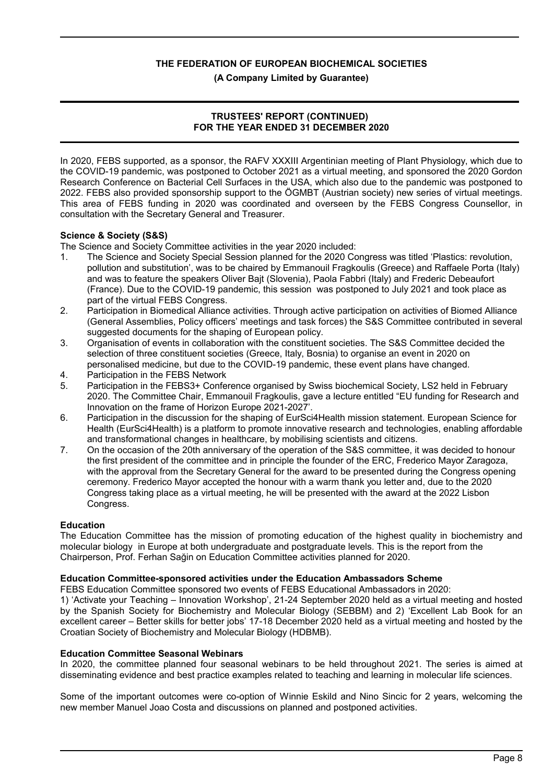**(A Company Limited by Guarantee)**

#### **TRUSTEES' REPORT (CONTINUED) FOR THE YEAR ENDED 31 DECEMBER 2020**

In 2020, FEBS supported, as a sponsor, the RAFV XXXIII Argentinian meeting of Plant Physiology, which due to the COVID-19 pandemic, was postponed to October 2021 as a virtual meeting, and sponsored the 2020 Gordon Research Conference on Bacterial Cell Surfaces in the USA, which also due to the pandemic was postponed to 2022. FEBS also provided sponsorship support to the ÖGMBT (Austrian society) new series of virtual meetings. This area of FEBS funding in 2020 was coordinated and overseen by the FEBS Congress Counsellor, in consultation with the Secretary General and Treasurer.

#### **Science & Society (S&S)**

The Science and Society Committee activities in the year 2020 included:

- 1. The Science and Society Special Session planned for the 2020 Congress was titled 'Plastics: revolution, pollution and substitution', was to be chaired by Emmanouil Fragkoulis (Greece) and Raffaele Porta (Italy) and was to feature the speakers Oliver Bajt (Slovenia), Paola Fabbri (Italy) and Frederic Debeaufort (France). Due to the COVID-19 pandemic, this session was postponed to July 2021 and took place as part of the virtual FEBS Congress.
- 2. Participation in Biomedical Alliance activities. Through active participation on activities of Biomed Alliance (General Assemblies, Policy officers' meetings and task forces) the S&S Committee contributed in several suggested documents for the shaping of European policy.
- 3. Organisation of events in collaboration with the constituent societies. The S&S Committee decided the selection of three constituent societies (Greece, Italy, Bosnia) to organise an event in 2020 on personalised medicine, but due to the COVID-19 pandemic, these event plans have changed.
- 4. Participation in the FEBS Network
- 5. Participation in the FEBS3+ Conference organised by Swiss biochemical Society, LS2 held in February 2020. The Committee Chair, Emmanouil Fragkoulis, gave a lecture entitled "EU funding for Research and Innovation on the frame of Horizon Europe 2021-2027'.
- 6. Participation in the discussion for the shaping of EurSci4Health mission statement. European Science for Health (EurSci4Health) is a platform to promote innovative research and technologies, enabling affordable and transformational changes in healthcare, by mobilising scientists and citizens.
- 7. On the occasion of the 20th anniversary of the operation of the S&S committee, it was decided to honour the first president of the committee and in principle the founder of the ERC, Frederico Mayor Zaragoza, with the approval from the Secretary General for the award to be presented during the Congress opening ceremony. Frederico Mayor accepted the honour with a warm thank you letter and, due to the 2020 Congress taking place as a virtual meeting, he will be presented with the award at the 2022 Lisbon Congress.

#### **Education**

The Education Committee has the mission of promoting education of the highest quality in biochemistry and molecular biology in Europe at both undergraduate and postgraduate levels. This is the report from the Chairperson, Prof. Ferhan Sağin on Education Committee activities planned for 2020.

#### **Education Committee-sponsored activities under the Education Ambassadors Scheme**

FEBS Education Committee sponsored two events of FEBS Educational Ambassadors in 2020:

1) 'Activate your Teaching – Innovation Workshop', 21-24 September 2020 held as a virtual meeting and hosted by the Spanish Society for Biochemistry and Molecular Biology (SEBBM) and 2) 'Excellent Lab Book for an excellent career – Better skills for better jobs' 17-18 December 2020 held as a virtual meeting and hosted by the Croatian Society of Biochemistry and Molecular Biology (HDBMB).

#### **Education Committee Seasonal Webinars**

In 2020, the committee planned four seasonal webinars to be held throughout 2021. The series is aimed at disseminating evidence and best practice examples related to teaching and learning in molecular life sciences.

Some of the important outcomes were co-option of Winnie Eskild and Nino Sincic for 2 years, welcoming the new member Manuel Joao Costa and discussions on planned and postponed activities.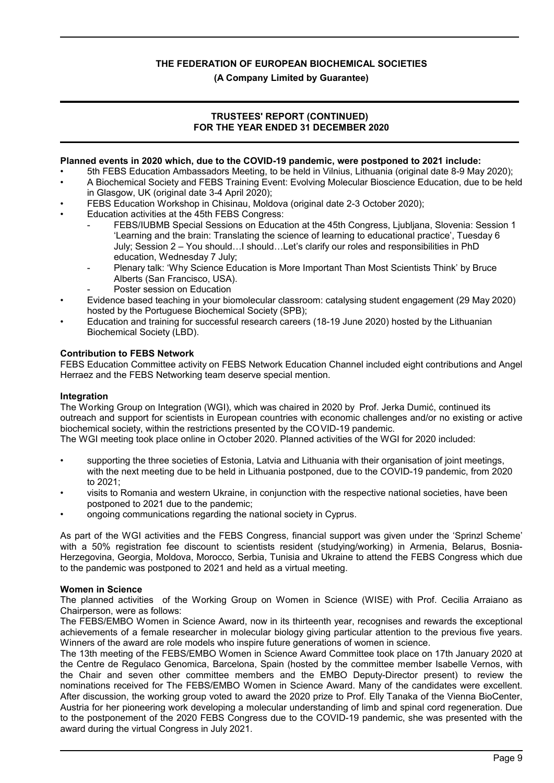**(A Company Limited by Guarantee)**

### **TRUSTEES' REPORT (CONTINUED) FOR THE YEAR ENDED 31 DECEMBER 2020**

#### **Planned events in 2020 which, due to the COVID-19 pandemic, were postponed to 2021 include:**

- 5th FEBS Education Ambassadors Meeting, to be held in Vilnius, Lithuania (original date 8-9 May 2020);
- A Biochemical Society and FEBS Training Event: Evolving Molecular Bioscience Education, due to be held in Glasgow, UK (original date 3-4 April 2020);
- FEBS Education Workshop in Chisinau, Moldova (original date 2-3 October 2020);
- Education activities at the 45th FEBS Congress:
	- FEBS/IUBMB Special Sessions on Education at the 45th Congress, Ljubljana, Slovenia: Session 1 'Learning and the brain: Translating the science of learning to educational practice', Tuesday 6 July; Session 2 – You should…I should…Let's clarify our roles and responsibilities in PhD education, Wednesday 7 July;
	- Plenary talk: 'Why Science Education is More Important Than Most Scientists Think' by Bruce Alberts (San Francisco, USA).
	- Poster session on Education
- Evidence based teaching in your biomolecular classroom: catalysing student engagement (29 May 2020) hosted by the Portuguese Biochemical Society (SPB);
- Education and training for successful research careers (18-19 June 2020) hosted by the Lithuanian Biochemical Society (LBD).

## **Contribution to FEBS Network**

FEBS Education Committee activity on FEBS Network Education Channel included eight contributions and Angel Herraez and the FEBS Networking team deserve special mention.

#### **Integration**

The Working Group on Integration (WGI), which was chaired in 2020 by Prof. Jerka Dumić, continued its outreach and support for scientists in European countries with economic challenges and/or no existing or active biochemical society, within the restrictions presented by the COVID-19 pandemic.

The WGI meeting took place online in October 2020. Planned activities of the WGI for 2020 included:

- supporting the three societies of Estonia, Latvia and Lithuania with their organisation of joint meetings, with the next meeting due to be held in Lithuania postponed, due to the COVID-19 pandemic, from 2020 to 2021;
- visits to Romania and western Ukraine, in conjunction with the respective national societies, have been postponed to 2021 due to the pandemic;
- ongoing communications regarding the national society in Cyprus.

As part of the WGI activities and the FEBS Congress, financial support was given under the 'Sprinzl Scheme' with a 50% registration fee discount to scientists resident (studying/working) in Armenia, Belarus, Bosnia-Herzegovina, Georgia, Moldova, Morocco, Serbia, Tunisia and Ukraine to attend the FEBS Congress which due to the pandemic was postponed to 2021 and held as a virtual meeting.

#### **Women in Science**

The planned activities of the Working Group on Women in Science (WISE) with Prof. Cecilia Arraiano as Chairperson, were as follows:

The FEBS/EMBO Women in Science Award, now in its thirteenth year, recognises and rewards the exceptional achievements of a female researcher in molecular biology giving particular attention to the previous five years. Winners of the award are role models who inspire future generations of women in science.

The 13th meeting of the FEBS/EMBO Women in Science Award Committee took place on 17th January 2020 at the Centre de Regulaco Genomica, Barcelona, Spain (hosted by the committee member Isabelle Vernos, with the Chair and seven other committee members and the EMBO Deputy-Director present) to review the nominations received for The FEBS/EMBO Women in Science Award. Many of the candidates were excellent. After discussion, the working group voted to award the 2020 prize to Prof. Elly Tanaka of the Vienna BioCenter, Austria for her pioneering work developing a molecular understanding of limb and spinal cord regeneration. Due to the postponement of the 2020 FEBS Congress due to the COVID-19 pandemic, she was presented with the award during the virtual Congress in July 2021.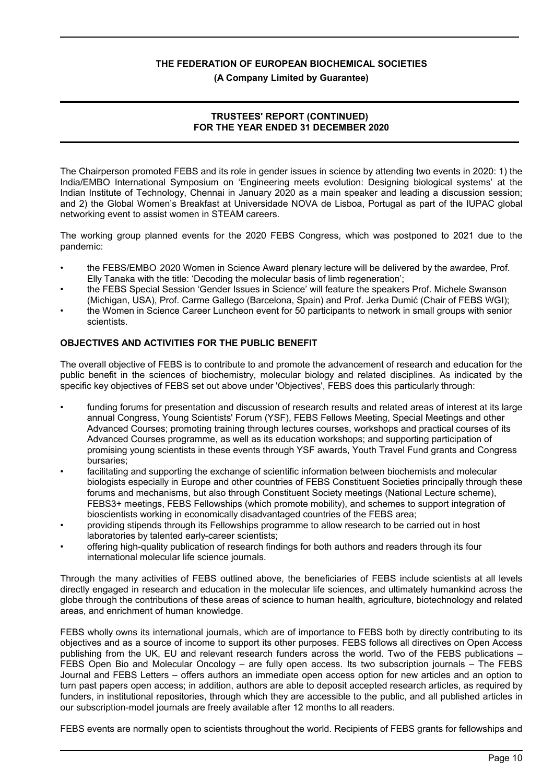**(A Company Limited by Guarantee)**

#### **TRUSTEES' REPORT (CONTINUED) FOR THE YEAR ENDED 31 DECEMBER 2020**

The Chairperson promoted FEBS and its role in gender issues in science by attending two events in 2020: 1) the India/EMBO International Symposium on 'Engineering meets evolution: Designing biological systems' at the Indian Institute of Technology, Chennai in January 2020 as a main speaker and leading a discussion session; and 2) the Global Women's Breakfast at Universidade NOVA de Lisboa, Portugal as part of the IUPAC global networking event to assist women in STEAM careers.

The working group planned events for the 2020 FEBS Congress, which was postponed to 2021 due to the pandemic:

- the FEBS/EMBO 2020 Women in Science Award plenary lecture will be delivered by the awardee, Prof. Elly Tanaka with the title: 'Decoding the molecular basis of limb regeneration';
- the FEBS Special Session 'Gender Issues in Science' will feature the speakers Prof. Michele Swanson (Michigan, USA), Prof. Carme Gallego (Barcelona, Spain) and Prof. Jerka Dumić (Chair of FEBS WGI);
- the Women in Science Career Luncheon event for 50 participants to network in small groups with senior scientists.

#### **OBJECTIVES AND ACTIVITIES FOR THE PUBLIC BENEFIT**

The overall objective of FEBS is to contribute to and promote the advancement of research and education for the public benefit in the sciences of biochemistry, molecular biology and related disciplines. As indicated by the specific key objectives of FEBS set out above under 'Objectives', FEBS does this particularly through:

- funding forums for presentation and discussion of research results and related areas of interest at its large annual Congress, Young Scientists' Forum (YSF), FEBS Fellows Meeting, Special Meetings and other Advanced Courses; promoting training through lectures courses, workshops and practical courses of its Advanced Courses programme, as well as its education workshops; and supporting participation of promising young scientists in these events through YSF awards, Youth Travel Fund grants and Congress bursaries;
- facilitating and supporting the exchange of scientific information between biochemists and molecular biologists especially in Europe and other countries of FEBS Constituent Societies principally through these forums and mechanisms, but also through Constituent Society meetings (National Lecture scheme), FEBS3+ meetings, FEBS Fellowships (which promote mobility), and schemes to support integration of bioscientists working in economically disadvantaged countries of the FEBS area;
- providing stipends through its Fellowships programme to allow research to be carried out in host laboratories by talented early-career scientists;
- offering high-quality publication of research findings for both authors and readers through its four international molecular life science journals.

Through the many activities of FEBS outlined above, the beneficiaries of FEBS include scientists at all levels directly engaged in research and education in the molecular life sciences, and ultimately humankind across the globe through the contributions of these areas of science to human health, agriculture, biotechnology and related areas, and enrichment of human knowledge.

FEBS wholly owns its international journals, which are of importance to FEBS both by directly contributing to its objectives and as a source of income to support its other purposes. FEBS follows all directives on Open Access publishing from the UK, EU and relevant research funders across the world. Two of the FEBS publications – FEBS Open Bio and Molecular Oncology – are fully open access. Its two subscription journals – The FEBS Journal and FEBS Letters – offers authors an immediate open access option for new articles and an option to turn past papers open access; in addition, authors are able to deposit accepted research articles, as required by funders, in institutional repositories, through which they are accessible to the public, and all published articles in our subscription-model journals are freely available after 12 months to all readers.

FEBS events are normally open to scientists throughout the world. Recipients of FEBS grants for fellowships and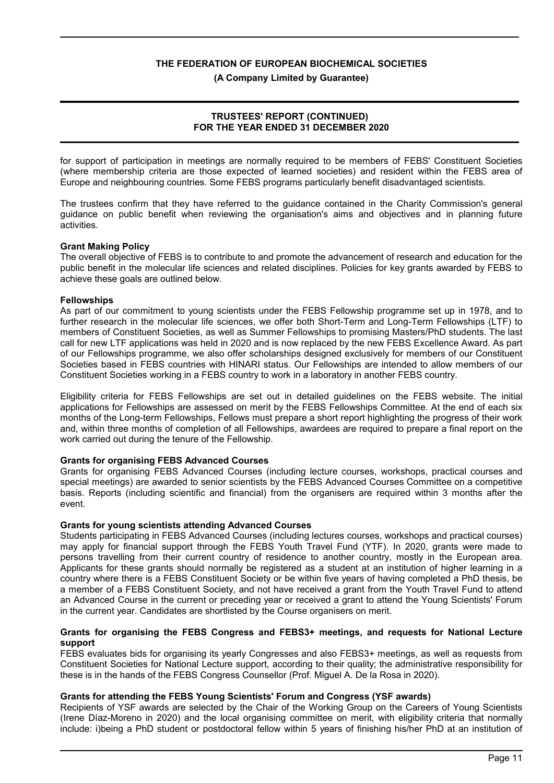**(A Company Limited by Guarantee)**

#### **TRUSTEES' REPORT (CONTINUED) FOR THE YEAR ENDED 31 DECEMBER 2020**

for support of participation in meetings are normally required to be members of FEBS' Constituent Societies (where membership criteria are those expected of learned societies) and resident within the FEBS area of Europe and neighbouring countries. Some FEBS programs particularly benefit disadvantaged scientists.

The trustees confirm that they have referred to the guidance contained in the Charity Commission's general guidance on public benefit when reviewing the organisation's aims and objectives and in planning future activities.

#### **Grant Making Policy**

The overall objective of FEBS is to contribute to and promote the advancement of research and education for the public benefit in the molecular life sciences and related disciplines. Policies for key grants awarded by FEBS to achieve these goals are outlined below.

#### **Fellowships**

As part of our commitment to young scientists under the FEBS Fellowship programme set up in 1978, and to further research in the molecular life sciences, we offer both Short-Term and Long-Term Fellowships (LTF) to members of Constituent Societies, as well as Summer Fellowships to promising Masters/PhD students. The last call for new LTF applications was held in 2020 and is now replaced by the new FEBS Excellence Award. As part of our Fellowships programme, we also offer scholarships designed exclusively for members of our Constituent Societies based in FEBS countries with HINARI status. Our Fellowships are intended to allow members of our Constituent Societies working in a FEBS country to work in a laboratory in another FEBS country.

Eligibility criteria for FEBS Fellowships are set out in detailed guidelines on the FEBS website. The initial applications for Fellowships are assessed on merit by the FEBS Fellowships Committee. At the end of each six months of the Long-term Fellowships, Fellows must prepare a short report highlighting the progress of their work and, within three months of completion of all Fellowships, awardees are required to prepare a final report on the work carried out during the tenure of the Fellowship.

#### **Grants for organising FEBS Advanced Courses**

Grants for organising FEBS Advanced Courses (including lecture courses, workshops, practical courses and special meetings) are awarded to senior scientists by the FEBS Advanced Courses Committee on a competitive basis. Reports (including scientific and financial) from the organisers are required within 3 months after the event.

#### **Grants for young scientists attending Advanced Courses**

Students participating in FEBS Advanced Courses (including lectures courses, workshops and practical courses) may apply for financial support through the FEBS Youth Travel Fund (YTF). In 2020, grants were made to persons travelling from their current country of residence to another country, mostly in the European area. Applicants for these grants should normally be registered as a student at an institution of higher learning in a country where there is a FEBS Constituent Society or be within five years of having completed a PhD thesis, be a member of a FEBS Constituent Society, and not have received a grant from the Youth Travel Fund to attend an Advanced Course in the current or preceding year or received a grant to attend the Young Scientists' Forum in the current year. Candidates are shortlisted by the Course organisers on merit.

#### **Grants for organising the FEBS Congress and FEBS3+ meetings, and requests for National Lecture support**

FEBS evaluates bids for organising its yearly Congresses and also FEBS3+ meetings, as well as requests from Constituent Societies for National Lecture support, according to their quality; the administrative responsibility for these is in the hands of the FEBS Congress Counsellor (Prof. Miguel A. De la Rosa in 2020).

#### **Grants for attending the FEBS Young Scientists' Forum and Congress (YSF awards)**

Recipients of YSF awards are selected by the Chair of the Working Group on the Careers of Young Scientists (Irene Díaz-Moreno in 2020) and the local organising committee on merit, with eligibility criteria that normally include: i)being a PhD student or postdoctoral fellow within 5 years of finishing his/her PhD at an institution of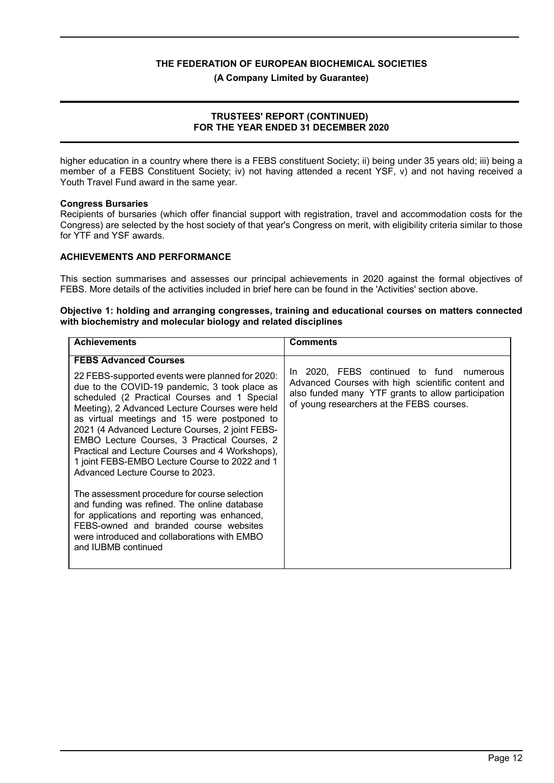**(A Company Limited by Guarantee)**

#### **TRUSTEES' REPORT (CONTINUED) FOR THE YEAR ENDED 31 DECEMBER 2020**

higher education in a country where there is a FEBS constituent Society; ii) being under 35 years old; iii) being a member of a FEBS Constituent Society; iv) not having attended a recent YSF, v) and not having received a Youth Travel Fund award in the same year.

#### **Congress Bursaries**

Recipients of bursaries (which offer financial support with registration, travel and accommodation costs for the Congress) are selected by the host society of that year's Congress on merit, with eligibility criteria similar to those for YTF and YSF awards.

#### **ACHIEVEMENTS AND PERFORMANCE**

This section summarises and assesses our principal achievements in 2020 against the formal objectives of FEBS. More details of the activities included in brief here can be found in the 'Activities' section above.

#### **Objective 1: holding and arranging congresses, training and educational courses on matters connected with biochemistry and molecular biology and related disciplines**

| <b>Achievements</b>                                                                                                                                                                                                                                                                | <b>Comments</b>                                                                                                                                                                                  |  |  |  |  |
|------------------------------------------------------------------------------------------------------------------------------------------------------------------------------------------------------------------------------------------------------------------------------------|--------------------------------------------------------------------------------------------------------------------------------------------------------------------------------------------------|--|--|--|--|
| <b>FEBS Advanced Courses</b><br>22 FEBS-supported events were planned for 2020:<br>due to the COVID-19 pandemic, 3 took place as<br>scheduled (2 Practical Courses and 1 Special<br>Meeting), 2 Advanced Lecture Courses were held<br>as virtual meetings and 15 were postponed to | In 2020, FEBS continued to fund numerous<br>Advanced Courses with high scientific content and<br>also funded many YTF grants to allow participation<br>of young researchers at the FEBS courses. |  |  |  |  |
| 2021 (4 Advanced Lecture Courses, 2 joint FEBS-<br>EMBO Lecture Courses, 3 Practical Courses, 2<br>Practical and Lecture Courses and 4 Workshops),<br>1 joint FEBS-EMBO Lecture Course to 2022 and 1<br>Advanced Lecture Course to 2023.                                           |                                                                                                                                                                                                  |  |  |  |  |
| The assessment procedure for course selection<br>and funding was refined. The online database<br>for applications and reporting was enhanced,<br>FEBS-owned and branded course websites<br>were introduced and collaborations with EMBO<br>and IUBMB continued                     |                                                                                                                                                                                                  |  |  |  |  |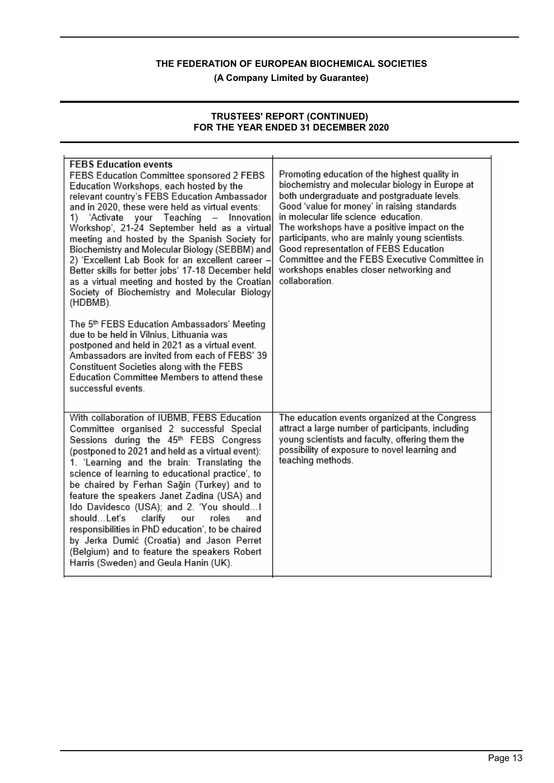**(A Company Limited by Guarantee)**

#### **TRUSTEES' REPORT (CONTINUED) FOR THE YEAR ENDED 31 DECEMBER 2020**

| <b>FEBS Education events</b><br>FEBS Education Committee sponsored 2 FEBS<br>Education Workshops, each hosted by the<br>relevant country's FEBS Education Ambassador<br>and in 2020, these were held as virtual events:<br>1) 'Activate your Teaching - Innovation<br>Workshop', 21-24 September held as a virtual<br>meeting and hosted by the Spanish Society for<br>Biochemistry and Molecular Biology (SEBBM) and<br>2) 'Excellent Lab Book for an excellent career -<br>Better skills for better jobs' 17-18 December held<br>as a virtual meeting and hosted by the Croatian<br>Society of Biochemistry and Molecular Biology<br>(HDBMB).                                | Promoting education of the highest quality in<br>biochemistry and molecular biology in Europe at<br>both undergraduate and postgraduate levels.<br>Good 'value for money' in raising standards<br>in molecular life science education.<br>The workshops have a positive impact on the<br>participants, who are mainly young scientists.<br>Good representation of FEBS Education<br>Committee and the FEBS Executive Committee in<br>workshops enables closer networking and<br>collaboration. |
|--------------------------------------------------------------------------------------------------------------------------------------------------------------------------------------------------------------------------------------------------------------------------------------------------------------------------------------------------------------------------------------------------------------------------------------------------------------------------------------------------------------------------------------------------------------------------------------------------------------------------------------------------------------------------------|------------------------------------------------------------------------------------------------------------------------------------------------------------------------------------------------------------------------------------------------------------------------------------------------------------------------------------------------------------------------------------------------------------------------------------------------------------------------------------------------|
| The 5th FEBS Education Ambassadors' Meeting<br>due to be held in Vilnius, Lithuania was<br>postponed and held in 2021 as a virtual event.<br>Ambassadors are invited from each of FEBS' 39<br>Constituent Societies along with the FEBS<br>Education Committee Members to attend these<br>successful events.                                                                                                                                                                                                                                                                                                                                                                   |                                                                                                                                                                                                                                                                                                                                                                                                                                                                                                |
| With collaboration of IUBMB, FEBS Education<br>Committee organised 2 successful Special<br>Sessions during the 45th FEBS Congress<br>(postponed to 2021 and held as a virtual event):<br>1. 'Learning and the brain: Translating the<br>science of learning to educational practice', to<br>be chaired by Ferhan Sağin (Turkey) and to<br>feature the speakers Janet Zadina (USA) and<br>Ido Davidesco (USA); and 2. 'You should I<br>shouldLet's<br>clarify<br>roles<br>and<br>our<br>responsibilities in PhD education', to be chaired<br>by Jerka Dumić (Croatia) and Jason Perret<br>(Belgium) and to feature the speakers Robert<br>Harris (Sweden) and Geula Hanin (UK). | The education events organized at the Congress<br>attract a large number of participants, including<br>young scientists and faculty, offering them the<br>possibility of exposure to novel learning and<br>teaching methods.                                                                                                                                                                                                                                                                   |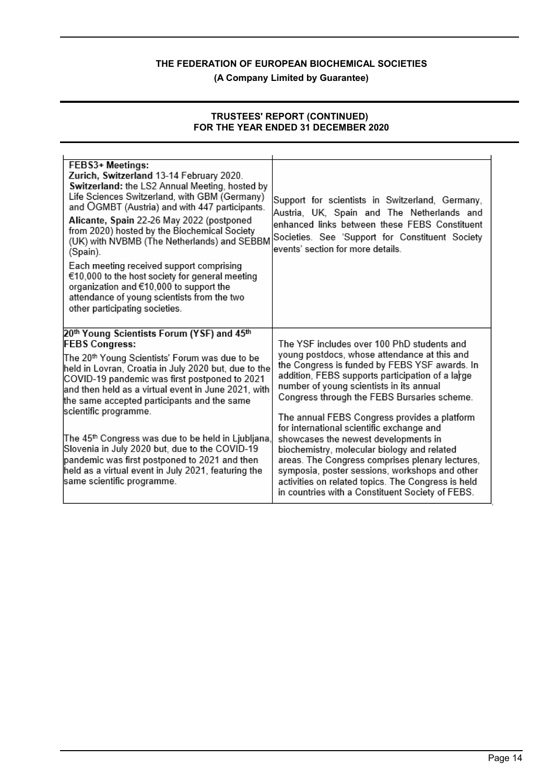**(A Company Limited by Guarantee)**

#### **TRUSTEES' REPORT (CONTINUED) FOR THE YEAR ENDED 31 DECEMBER 2020**

| FEBS3+ Meetings:<br>Zurich, Switzerland 13-14 February 2020.<br>Switzerland: the LS2 Annual Meeting, hosted by<br>Life Sciences Switzerland, with GBM (Germany)<br>and OGMBT (Austria) and with 447 participants.<br>Alicante, Spain 22-26 May 2022 (postponed<br>from 2020) hosted by the Biochemical Society<br>(UK) with NVBMB (The Netherlands) and SEBBM<br>(Spain).<br>Each meeting received support comprising<br>€10,000 to the host society for general meeting<br>organization and €10,000 to support the<br>attendance of young scientists from the two<br>other participating societies. | Support for scientists in Switzerland, Germany,<br>Austria, UK, Spain and The Netherlands and<br>enhanced links between these FEBS Constituent<br>Societies. See 'Support for Constituent Society<br>events' section for more details                                                                                                           |
|------------------------------------------------------------------------------------------------------------------------------------------------------------------------------------------------------------------------------------------------------------------------------------------------------------------------------------------------------------------------------------------------------------------------------------------------------------------------------------------------------------------------------------------------------------------------------------------------------|-------------------------------------------------------------------------------------------------------------------------------------------------------------------------------------------------------------------------------------------------------------------------------------------------------------------------------------------------|
| 20 <sup>th</sup> Young Scientists Forum (YSF) and 45 <sup>th</sup><br><b>FEBS Congress:</b><br>The 20 <sup>th</sup> Young Scientists' Forum was due to be<br>held in Lovran, Croatia in July 2020 but, due to the<br>COVID-19 pandemic was first postponed to 2021<br>and then held as a virtual event in June 2021, with<br>the same accepted participants and the same<br>scientific programme.                                                                                                                                                                                                    | The YSF includes over 100 PhD students and<br>young postdocs, whose attendance at this and<br>the Congress is funded by FEBS YSF awards. In<br>addition, FEBS supports participation of a large<br>number of young scientists in its annual<br>Congress through the FEBS Bursaries scheme.<br>The annual FEBS Congress provides a platform      |
| The 45 <sup>th</sup> Congress was due to be held in Ljubljana,<br>Slovenia in July 2020 but, due to the COVID-19<br>pandemic was first postponed to 2021 and then<br>held as a virtual event in July 2021, featuring the<br>same scientific programme.                                                                                                                                                                                                                                                                                                                                               | for international scientific exchange and<br>showcases the newest developments in<br>biochemistry, molecular biology and related<br>areas. The Congress comprises plenary lectures,<br>symposia, poster sessions, workshops and other<br>activities on related topics. The Congress is held<br>in countries with a Constituent Society of FEBS. |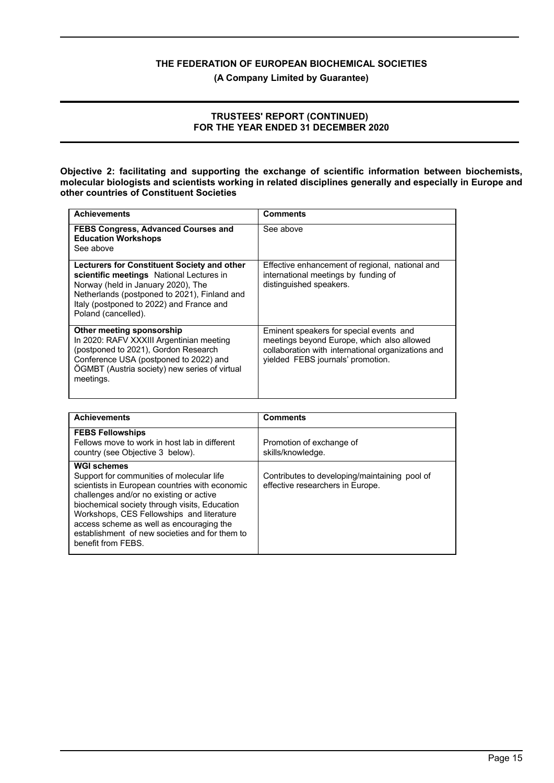**(A Company Limited by Guarantee)**

#### **TRUSTEES' REPORT (CONTINUED) FOR THE YEAR ENDED 31 DECEMBER 2020**

**Objective 2: facilitating and supporting the exchange of scientific information between biochemists, molecular biologists and scientists working in related disciplines generally and especially in Europe and other countries of Constituent Societies**

| <b>Achievements</b>                                                                                                                                                                                                                              | <b>Comments</b>                                                                                                                                                                  |
|--------------------------------------------------------------------------------------------------------------------------------------------------------------------------------------------------------------------------------------------------|----------------------------------------------------------------------------------------------------------------------------------------------------------------------------------|
| <b>FEBS Congress, Advanced Courses and</b><br><b>Education Workshops</b><br>See above                                                                                                                                                            | See above                                                                                                                                                                        |
| Lecturers for Constituent Society and other<br>scientific meetings National Lectures in<br>Norway (held in January 2020), The<br>Netherlands (postponed to 2021), Finland and<br>Italy (postponed to 2022) and France and<br>Poland (cancelled). | Effective enhancement of regional, national and<br>international meetings by funding of<br>distinguished speakers.                                                               |
| Other meeting sponsorship<br>In 2020: RAFV XXXIII Argentinian meeting<br>(postponed to 2021), Gordon Research<br>Conference USA (postponed to 2022) and<br>ÖGMBT (Austria society) new series of virtual<br>meetings.                            | Eminent speakers for special events and<br>meetings beyond Europe, which also allowed<br>collaboration with international organizations and<br>yielded FEBS journals' promotion. |

| <b>Achievements</b>                                                                                                                                                                                                                                                                                                                                                            | <b>Comments</b>                                                                   |
|--------------------------------------------------------------------------------------------------------------------------------------------------------------------------------------------------------------------------------------------------------------------------------------------------------------------------------------------------------------------------------|-----------------------------------------------------------------------------------|
| <b>FEBS Fellowships</b><br>Fellows move to work in host lab in different<br>country (see Objective 3 below).                                                                                                                                                                                                                                                                   | Promotion of exchange of<br>skills/knowledge.                                     |
| <b>WGI schemes</b><br>Support for communities of molecular life<br>scientists in European countries with economic<br>challenges and/or no existing or active<br>biochemical society through visits, Education<br>Workshops, CES Fellowships and literature<br>access scheme as well as encouraging the<br>establishment of new societies and for them to<br>benefit from FEBS. | Contributes to developing/maintaining pool of<br>effective researchers in Europe. |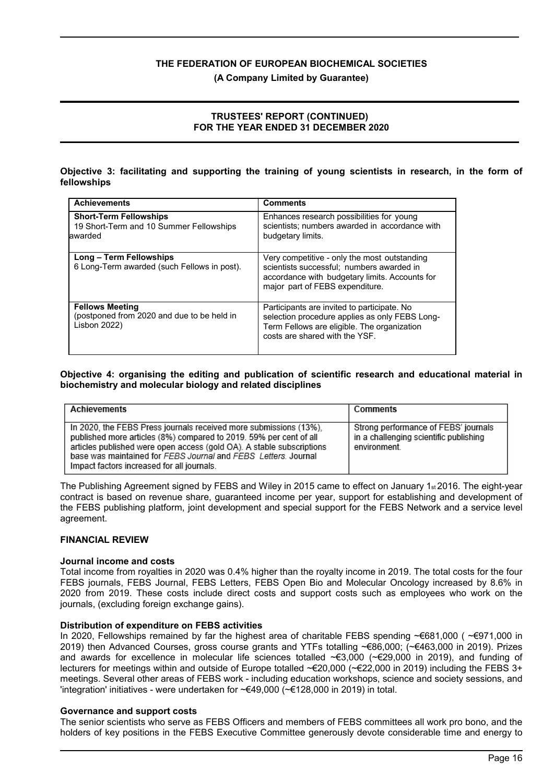**(A Company Limited by Guarantee)**

#### **TRUSTEES' REPORT (CONTINUED) FOR THE YEAR ENDED 31 DECEMBER 2020**

#### **Objective 3: facilitating and supporting the training of young scientists in research, in the form of fellowships**

| <b>Achievements</b>                                                                         | <b>Comments</b>                                                                                                                                                                |
|---------------------------------------------------------------------------------------------|--------------------------------------------------------------------------------------------------------------------------------------------------------------------------------|
| <b>Short-Term Fellowships</b><br>19 Short-Term and 10 Summer Fellowships<br>lawarded        | Enhances research possibilities for young<br>scientists; numbers awarded in accordance with<br>budgetary limits.                                                               |
| <b>Long - Term Fellowships</b><br>6 Long-Term awarded (such Fellows in post).               | Very competitive - only the most outstanding<br>scientists successful; numbers awarded in<br>accordance with budgetary limits. Accounts for<br>major part of FEBS expenditure. |
| <b>Fellows Meeting</b><br>(postponed from 2020 and due to be held in<br><b>Lisbon 2022)</b> | Participants are invited to participate. No<br>selection procedure applies as only FEBS Long-<br>Term Fellows are eligible. The organization<br>costs are shared with the YSF. |

#### **Objective 4: organising the editing and publication of scientific research and educational material in biochemistry and molecular biology and related disciplines**

| <b>Achievements</b>                                                                                                                                                                                                                                                                                                              | Comments                                                                                      |
|----------------------------------------------------------------------------------------------------------------------------------------------------------------------------------------------------------------------------------------------------------------------------------------------------------------------------------|-----------------------------------------------------------------------------------------------|
| In 2020, the FEBS Press journals received more submissions (13%),<br>published more articles (8%) compared to 2019. 59% per cent of all<br>articles published were open access (gold OA). A stable subscriptions<br>base was maintained for FEBS Journal and FEBS Letters. Journal<br>Impact factors increased for all journals. | Strong performance of FEBS' journals<br>in a challenging scientific publishing<br>environment |

The Publishing Agreement signed by FEBS and Wiley in 2015 came to effect on January 1 $st$  2016. The eight-year contract is based on revenue share, guaranteed income per year, support for establishing and development of the FEBS publishing platform, joint development and special support for the FEBS Network and a service level agreement.

#### **FINANCIAL REVIEW**

#### **Journal income and costs**

Total income from royalties in 2020 was 0.4% higher than the royalty income in 2019. The total costs for the four FEBS journals, FEBS Journal, FEBS Letters, FEBS Open Bio and Molecular Oncology increased by 8.6% in 2020 from 2019. These costs include direct costs and support costs such as employees who work on the journals, (excluding foreign exchange gains).

#### **Distribution of expenditure on FEBS activities**

In 2020, Fellowships remained by far the highest area of charitable FEBS spending ~€681,000 ( ~€971,000 in 2019) then Advanced Courses, gross course grants and YTFs totalling ~€86,000; (~€463,000 in 2019). Prizes and awards for excellence in molecular life sciences totalled  $\epsilon$  3,000 ( $\epsilon$  £29,000 in 2019), and funding of lecturers for meetings within and outside of Europe totalled ~€20,000 (~€22,000 in 2019) including the FEBS 3+ meetings. Several other areas of FEBS work - including education workshops, science and society sessions, and 'integration' initiatives - were undertaken for ~€49,000 (~€128,000 in 2019) in total.

#### **Governance and support costs**

The senior scientists who serve as FEBS Officers and members of FEBS committees all work pro bono, and the holders of key positions in the FEBS Executive Committee generously devote considerable time and energy to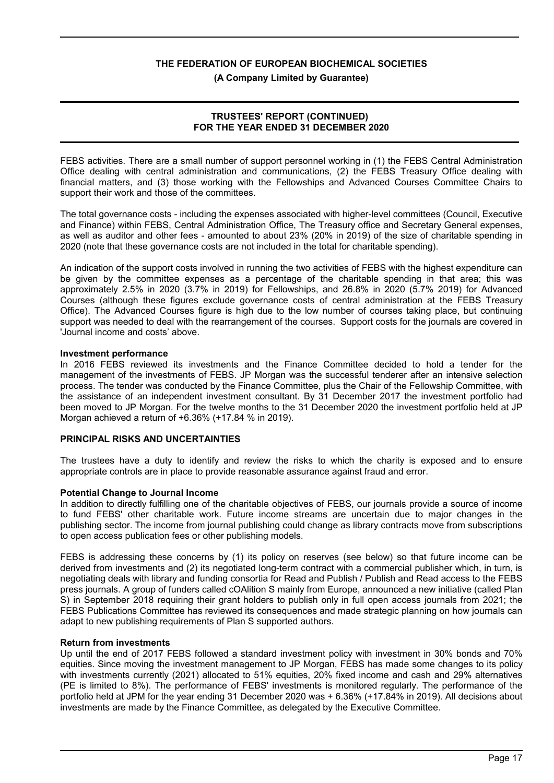**(A Company Limited by Guarantee)**

#### **TRUSTEES' REPORT (CONTINUED) FOR THE YEAR ENDED 31 DECEMBER 2020**

FEBS activities. There are a small number of support personnel working in (1) the FEBS Central Administration Office dealing with central administration and communications, (2) the FEBS Treasury Office dealing with financial matters, and (3) those working with the Fellowships and Advanced Courses Committee Chairs to support their work and those of the committees.

The total governance costs - including the expenses associated with higher-level committees (Council, Executive and Finance) within FEBS, Central Administration Office, The Treasury office and Secretary General expenses, as well as auditor and other fees - amounted to about 23% (20% in 2019) of the size of charitable spending in 2020 (note that these governance costs are not included in the total for charitable spending).

An indication of the support costs involved in running the two activities of FEBS with the highest expenditure can be given by the committee expenses as a percentage of the charitable spending in that area; this was approximately 2.5% in 2020 (3.7% in 2019) for Fellowships, and 26.8% in 2020 (5.7% 2019) for Advanced Courses (although these figures exclude governance costs of central administration at the FEBS Treasury Office). The Advanced Courses figure is high due to the low number of courses taking place, but continuing support was needed to deal with the rearrangement of the courses. Support costs for the journals are covered in 'Journal income and costs' above.

#### **Investment performance**

In 2016 FEBS reviewed its investments and the Finance Committee decided to hold a tender for the management of the investments of FEBS. JP Morgan was the successful tenderer after an intensive selection process. The tender was conducted by the Finance Committee, plus the Chair of the Fellowship Committee, with the assistance of an independent investment consultant. By 31 December 2017 the investment portfolio had been moved to JP Morgan. For the twelve months to the 31 December 2020 the investment portfolio held at JP Morgan achieved a return of +6.36% (+17.84 % in 2019).

### **PRINCIPAL RISKS AND UNCERTAINTIES**

The trustees have a duty to identify and review the risks to which the charity is exposed and to ensure appropriate controls are in place to provide reasonable assurance against fraud and error.

#### **Potential Change to Journal Income**

In addition to directly fulfilling one of the charitable objectives of FEBS, our journals provide a source of income to fund FEBS' other charitable work. Future income streams are uncertain due to major changes in the publishing sector. The income from journal publishing could change as library contracts move from subscriptions to open access publication fees or other publishing models.

FEBS is addressing these concerns by (1) its policy on reserves (see below) so that future income can be derived from investments and (2) its negotiated long-term contract with a commercial publisher which, in turn, is negotiating deals with library and funding consortia for Read and Publish / Publish and Read access to the FEBS press journals. A group of funders called cOAlition S mainly from Europe, announced a new initiative (called Plan S) in September 2018 requiring their grant holders to publish only in full open access journals from 2021; the FEBS Publications Committee has reviewed its consequences and made strategic planning on how journals can adapt to new publishing requirements of Plan S supported authors.

#### **Return from investments**

Up until the end of 2017 FEBS followed a standard investment policy with investment in 30% bonds and 70% equities. Since moving the investment management to JP Morgan, FEBS has made some changes to its policy with investments currently (2021) allocated to 51% equities, 20% fixed income and cash and 29% alternatives (PE is limited to 8%). The performance of FEBS' investments is monitored regularly. The performance of the portfolio held at JPM for the year ending 31 December 2020 was + 6.36% (+17.84% in 2019). All decisions about investments are made by the Finance Committee, as delegated by the Executive Committee.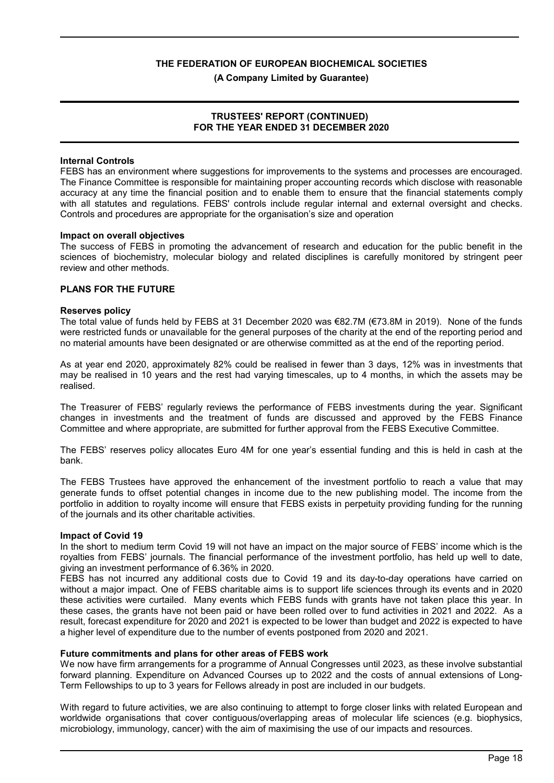**(A Company Limited by Guarantee)**

#### **TRUSTEES' REPORT (CONTINUED) FOR THE YEAR ENDED 31 DECEMBER 2020**

### **Internal Controls**

FEBS has an environment where suggestions for improvements to the systems and processes are encouraged. The Finance Committee is responsible for maintaining proper accounting records which disclose with reasonable accuracy at any time the financial position and to enable them to ensure that the financial statements comply with all statutes and regulations. FEBS' controls include regular internal and external oversight and checks. Controls and procedures are appropriate for the organisation's size and operation

#### **Impact on overall objectives**

The success of FEBS in promoting the advancement of research and education for the public benefit in the sciences of biochemistry, molecular biology and related disciplines is carefully monitored by stringent peer review and other methods.

#### **PLANS FOR THE FUTURE**

#### **Reserves policy**

The total value of funds held by FEBS at 31 December 2020 was €82.7M (€73.8M in 2019). None of the funds were restricted funds or unavailable for the general purposes of the charity at the end of the reporting period and no material amounts have been designated or are otherwise committed as at the end of the reporting period.

As at year end 2020, approximately 82% could be realised in fewer than 3 days, 12% was in investments that may be realised in 10 years and the rest had varying timescales, up to 4 months, in which the assets may be realised.

The Treasurer of FEBS' regularly reviews the performance of FEBS investments during the year. Significant changes in investments and the treatment of funds are discussed and approved by the FEBS Finance Committee and where appropriate, are submitted for further approval from the FEBS Executive Committee.

The FEBS' reserves policy allocates Euro 4M for one year's essential funding and this is held in cash at the bank.

The FEBS Trustees have approved the enhancement of the investment portfolio to reach a value that may generate funds to offset potential changes in income due to the new publishing model. The income from the portfolio in addition to royalty income will ensure that FEBS exists in perpetuity providing funding for the running of the journals and its other charitable activities.

#### **Impact of Covid 19**

In the short to medium term Covid 19 will not have an impact on the major source of FEBS' income which is the royalties from FEBS' journals. The financial performance of the investment portfolio, has held up well to date, giving an investment performance of 6.36% in 2020.

FEBS has not incurred any additional costs due to Covid 19 and its day-to-day operations have carried on without a major impact. One of FEBS charitable aims is to support life sciences through its events and in 2020 these activities were curtailed. Many events which FEBS funds with grants have not taken place this year. In these cases, the grants have not been paid or have been rolled over to fund activities in 2021 and 2022. As a result, forecast expenditure for 2020 and 2021 is expected to be lower than budget and 2022 is expected to have a higher level of expenditure due to the number of events postponed from 2020 and 2021.

#### **Future commitments and plans for other areas of FEBS work**

We now have firm arrangements for a programme of Annual Congresses until 2023, as these involve substantial forward planning. Expenditure on Advanced Courses up to 2022 and the costs of annual extensions of Long-Term Fellowships to up to 3 years for Fellows already in post are included in our budgets.

With regard to future activities, we are also continuing to attempt to forge closer links with related European and worldwide organisations that cover contiguous/overlapping areas of molecular life sciences (e.g. biophysics, microbiology, immunology, cancer) with the aim of maximising the use of our impacts and resources.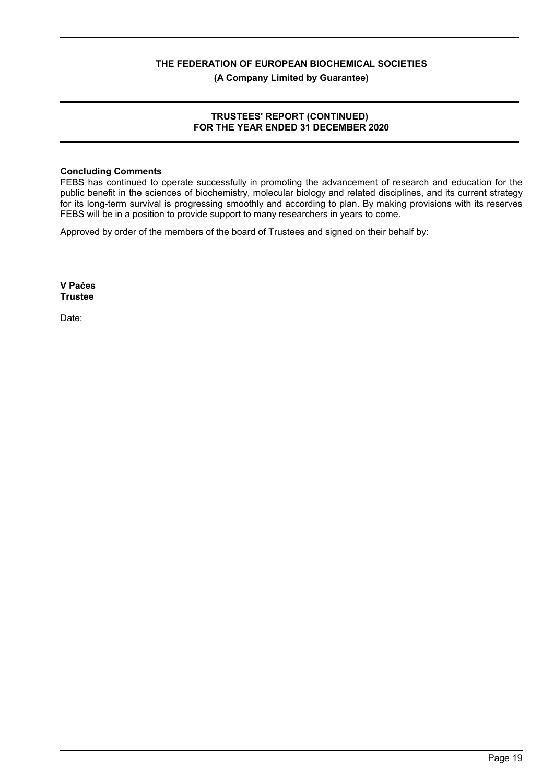**(A Company Limited by Guarantee)**

## **TRUSTEES' REPORT (CONTINUED) FOR THE YEAR ENDED 31 DECEMBER 2020**

#### **Concluding Comments**

FEBS has continued to operate successfully in promoting the advancement of research and education for the public benefit in the sciences of biochemistry, molecular biology and related disciplines, and its current strategy for its long-term survival is progressing smoothly and according to plan. By making provisions with its reserves FEBS will be in a position to provide support to many researchers in years to come.

Approved by order of the members of the board of Trustees and signed on their behalf by:

**V Pačes Trustee**

Date: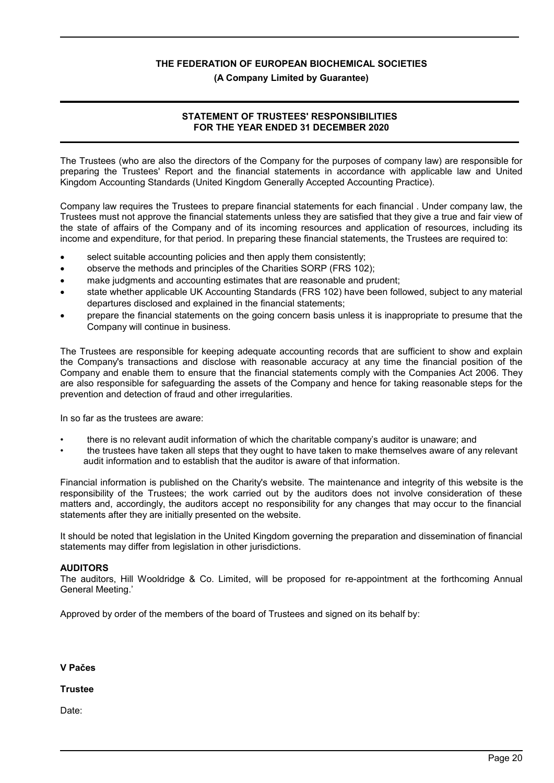#### **(A Company Limited by Guarantee)**

## **STATEMENT OF TRUSTEES' RESPONSIBILITIES FOR THE YEAR ENDED 31 DECEMBER 2020**

The Trustees (who are also the directors of the Company for the purposes of company law) are responsible for preparing the Trustees' Report and the financial statements in accordance with applicable law and United Kingdom Accounting Standards (United Kingdom Generally Accepted Accounting Practice).

Company law requires the Trustees to prepare financial statements for each financial . Under company law, the Trustees must not approve the financial statements unless they are satisfied that they give a true and fair view of the state of affairs of the Company and of its incoming resources and application of resources, including its income and expenditure, for that period. In preparing these financial statements, the Trustees are required to:

- select suitable accounting policies and then apply them consistently;
- observe the methods and principles of the Charities SORP (FRS 102);
- make judgments and accounting estimates that are reasonable and prudent;
- state whether applicable UK Accounting Standards (FRS 102) have been followed, subject to any material departures disclosed and explained in the financial statements;
- prepare the financial statements on the going concern basis unless it is inappropriate to presume that the Company will continue in business.

The Trustees are responsible for keeping adequate accounting records that are sufficient to show and explain the Company's transactions and disclose with reasonable accuracy at any time the financial position of the Company and enable them to ensure that the financial statements comply with the Companies Act 2006. They are also responsible for safeguarding the assets of the Company and hence for taking reasonable steps for the prevention and detection of fraud and other irregularities.

In so far as the trustees are aware:

- there is no relevant audit information of which the charitable company's auditor is unaware; and
- the trustees have taken all steps that they ought to have taken to make themselves aware of any relevant audit information and to establish that the auditor is aware of that information.

Financial information is published on the Charity's website. The maintenance and integrity of this website is the responsibility of the Trustees; the work carried out by the auditors does not involve consideration of these matters and, accordingly, the auditors accept no responsibility for any changes that may occur to the financial statements after they are initially presented on the website.

It should be noted that legislation in the United Kingdom governing the preparation and dissemination of financial statements may differ from legislation in other jurisdictions.

#### **AUDITORS**

The auditors, Hill Wooldridge & Co. Limited, will be proposed for re-appointment at the forthcoming Annual General Meeting.'

Approved by order of the members of the board of Trustees and signed on its behalf by:

**V Pačes**

#### **Trustee**

Date: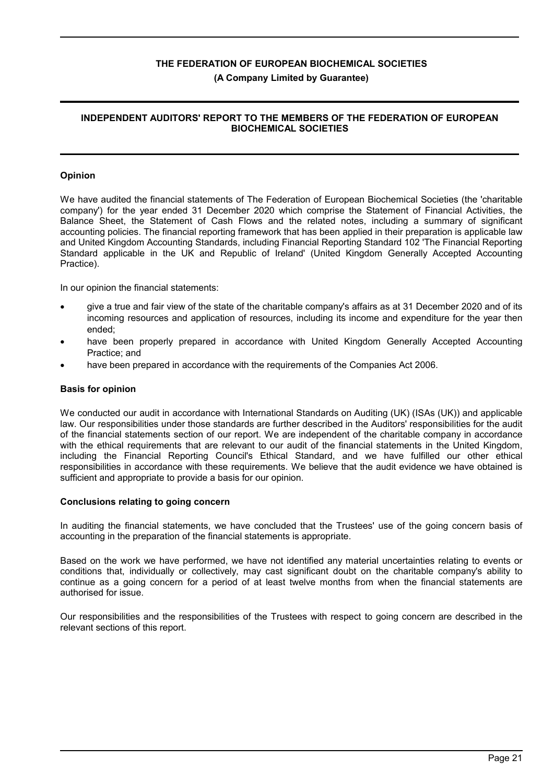# **(A Company Limited by Guarantee)**

## **INDEPENDENT AUDITORS' REPORT TO THE MEMBERS OF THE FEDERATION OF EUROPEAN BIOCHEMICAL SOCIETIES**

## **Opinion**

We have audited the financial statements of The Federation of European Biochemical Societies (the 'charitable company') for the year ended 31 December 2020 which comprise the Statement of Financial Activities, the Balance Sheet, the Statement of Cash Flows and the related notes, including a summary of significant accounting policies. The financial reporting framework that has been applied in their preparation is applicable law and United Kingdom Accounting Standards, including Financial Reporting Standard 102 'The Financial Reporting Standard applicable in the UK and Republic of Ireland' (United Kingdom Generally Accepted Accounting Practice).

In our opinion the financial statements:

- give a true and fair view of the state of the charitable company's affairs as at 31 December 2020 and of its incoming resources and application of resources, including its income and expenditure for the year then ended;
- have been properly prepared in accordance with United Kingdom Generally Accepted Accounting Practice; and
- have been prepared in accordance with the requirements of the Companies Act 2006.

### **Basis for opinion**

We conducted our audit in accordance with International Standards on Auditing (UK) (ISAs (UK)) and applicable law. Our responsibilities under those standards are further described in the Auditors' responsibilities for the audit of the financial statements section of our report. We are independent of the charitable company in accordance with the ethical requirements that are relevant to our audit of the financial statements in the United Kingdom, including the Financial Reporting Council's Ethical Standard, and we have fulfilled our other ethical responsibilities in accordance with these requirements. We believe that the audit evidence we have obtained is sufficient and appropriate to provide a basis for our opinion.

#### **Conclusions relating to going concern**

In auditing the financial statements, we have concluded that the Trustees' use of the going concern basis of accounting in the preparation of the financial statements is appropriate.

Based on the work we have performed, we have not identified any material uncertainties relating to events or conditions that, individually or collectively, may cast significant doubt on the charitable company's ability to continue as a going concern for a period of at least twelve months from when the financial statements are authorised for issue.

Our responsibilities and the responsibilities of the Trustees with respect to going concern are described in the relevant sections of this report.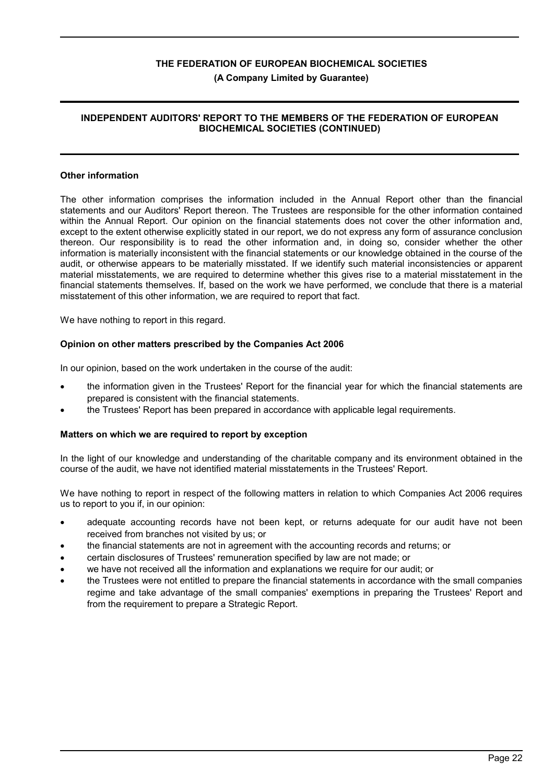#### **(A Company Limited by Guarantee)**

## **INDEPENDENT AUDITORS' REPORT TO THE MEMBERS OF THE FEDERATION OF EUROPEAN BIOCHEMICAL SOCIETIES (CONTINUED)**

#### **Other information**

The other information comprises the information included in the Annual Report other than the financial statements and our Auditors' Report thereon. The Trustees are responsible for the other information contained within the Annual Report. Our opinion on the financial statements does not cover the other information and, except to the extent otherwise explicitly stated in our report, we do not express any form of assurance conclusion thereon. Our responsibility is to read the other information and, in doing so, consider whether the other information is materially inconsistent with the financial statements or our knowledge obtained in the course of the audit, or otherwise appears to be materially misstated. If we identify such material inconsistencies or apparent material misstatements, we are required to determine whether this gives rise to a material misstatement in the financial statements themselves. If, based on the work we have performed, we conclude that there is a material misstatement of this other information, we are required to report that fact.

We have nothing to report in this regard.

#### **Opinion on other matters prescribed by the Companies Act 2006**

In our opinion, based on the work undertaken in the course of the audit:

- the information given in the Trustees' Report for the financial year for which the financial statements are prepared is consistent with the financial statements.
- the Trustees' Report has been prepared in accordance with applicable legal requirements.

#### **Matters on which we are required to report by exception**

In the light of our knowledge and understanding of the charitable company and its environment obtained in the course of the audit, we have not identified material misstatements in the Trustees' Report.

We have nothing to report in respect of the following matters in relation to which Companies Act 2006 requires us to report to you if, in our opinion:

- adequate accounting records have not been kept, or returns adequate for our audit have not been received from branches not visited by us; or
- the financial statements are not in agreement with the accounting records and returns; or
- certain disclosures of Trustees' remuneration specified by law are not made; or
- we have not received all the information and explanations we require for our audit; or
- the Trustees were not entitled to prepare the financial statements in accordance with the small companies regime and take advantage of the small companies' exemptions in preparing the Trustees' Report and from the requirement to prepare a Strategic Report.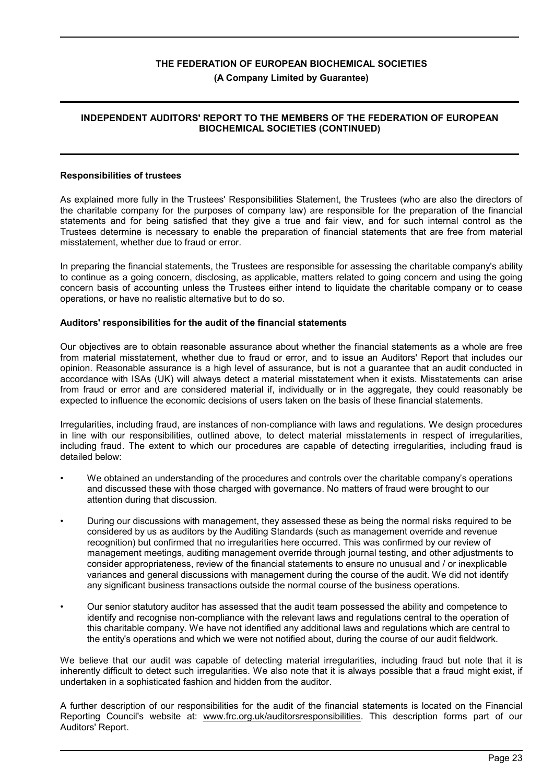## **(A Company Limited by Guarantee)**

## **INDEPENDENT AUDITORS' REPORT TO THE MEMBERS OF THE FEDERATION OF EUROPEAN BIOCHEMICAL SOCIETIES (CONTINUED)**

#### **Responsibilities of trustees**

As explained more fully in the Trustees' Responsibilities Statement, the Trustees (who are also the directors of the charitable company for the purposes of company law) are responsible for the preparation of the financial statements and for being satisfied that they give a true and fair view, and for such internal control as the Trustees determine is necessary to enable the preparation of financial statements that are free from material misstatement, whether due to fraud or error.

In preparing the financial statements, the Trustees are responsible for assessing the charitable company's ability to continue as a going concern, disclosing, as applicable, matters related to going concern and using the going concern basis of accounting unless the Trustees either intend to liquidate the charitable company or to cease operations, or have no realistic alternative but to do so.

## **Auditors' responsibilities for the audit of the financial statements**

Our objectives are to obtain reasonable assurance about whether the financial statements as a whole are free from material misstatement, whether due to fraud or error, and to issue an Auditors' Report that includes our opinion. Reasonable assurance is a high level of assurance, but is not a guarantee that an audit conducted in accordance with ISAs (UK) will always detect a material misstatement when it exists. Misstatements can arise from fraud or error and are considered material if, individually or in the aggregate, they could reasonably be expected to influence the economic decisions of users taken on the basis of these financial statements.

Irregularities, including fraud, are instances of non-compliance with laws and regulations. We design procedures in line with our responsibilities, outlined above, to detect material misstatements in respect of irregularities, including fraud. The extent to which our procedures are capable of detecting irregularities, including fraud is detailed below:

- We obtained an understanding of the procedures and controls over the charitable company's operations and discussed these with those charged with governance. No matters of fraud were brought to our attention during that discussion.
- During our discussions with management, they assessed these as being the normal risks required to be considered by us as auditors by the Auditing Standards (such as management override and revenue recognition) but confirmed that no irregularities here occurred. This was confirmed by our review of management meetings, auditing management override through journal testing, and other adjustments to consider appropriateness, review of the financial statements to ensure no unusual and / or inexplicable variances and general discussions with management during the course of the audit. We did not identify any significant business transactions outside the normal course of the business operations.
- Our senior statutory auditor has assessed that the audit team possessed the ability and competence to identify and recognise non-compliance with the relevant laws and regulations central to the operation of this charitable company. We have not identified any additional laws and regulations which are central to the entity's operations and which we were not notified about, during the course of our audit fieldwork.

We believe that our audit was capable of detecting material irregularities, including fraud but note that it is inherently difficult to detect such irregularities. We also note that it is always possible that a fraud might exist, if undertaken in a sophisticated fashion and hidden from the auditor.

A further description of our responsibilities for the audit of the financial statements is located on the Financial Reporting Council's website at: www.frc.org.uk/auditorsresponsibilities. This description forms part of our Auditors' Report.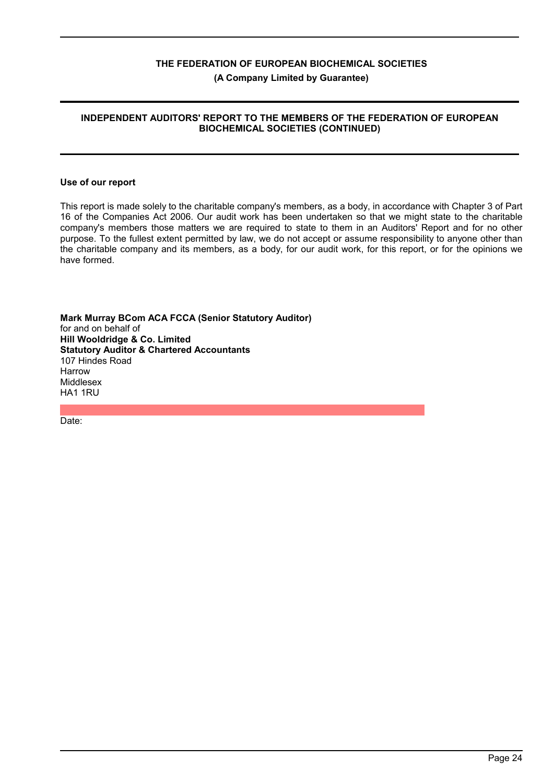# **(A Company Limited by Guarantee)**

## **INDEPENDENT AUDITORS' REPORT TO THE MEMBERS OF THE FEDERATION OF EUROPEAN BIOCHEMICAL SOCIETIES (CONTINUED)**

#### **Use of our report**

This report is made solely to the charitable company's members, as a body, in accordance with Chapter 3 of Part 16 of the Companies Act 2006. Our audit work has been undertaken so that we might state to the charitable company's members those matters we are required to state to them in an Auditors' Report and for no other purpose. To the fullest extent permitted by law, we do not accept or assume responsibility to anyone other than the charitable company and its members, as a body, for our audit work, for this report, or for the opinions we have formed.

**Mark Murray BCom ACA FCCA (Senior Statutory Auditor)** for and on behalf of **Hill Wooldridge & Co. Limited Statutory Auditor & Chartered Accountants** 107 Hindes Road Harrow Middlesex HA1 1RU

Date: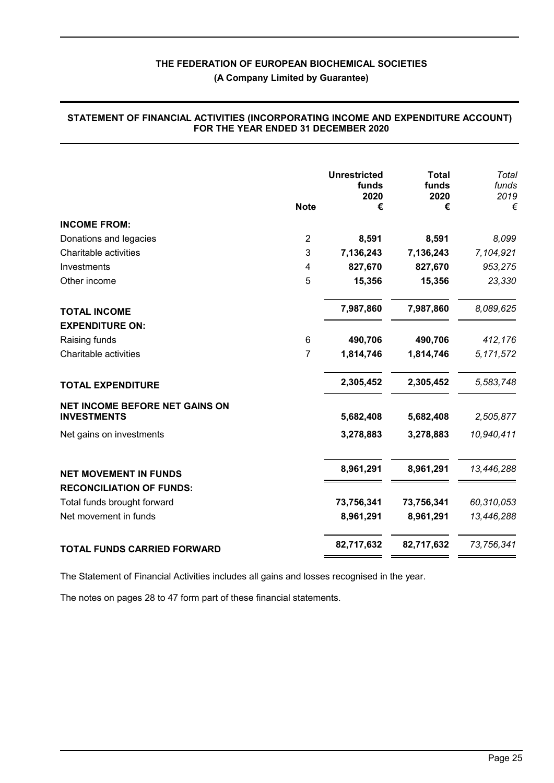**(A Company Limited by Guarantee)**

|                                       | <b>Unrestricted</b><br>funds |            | <b>Total</b><br>funds | Total<br>funds |
|---------------------------------------|------------------------------|------------|-----------------------|----------------|
|                                       |                              | 2020       | 2020                  | 2019           |
|                                       | <b>Note</b>                  | €          | €                     | €              |
| <b>INCOME FROM:</b>                   |                              |            |                       |                |
| Donations and legacies                | $\overline{2}$               | 8,591      | 8,591                 | 8,099          |
| Charitable activities                 | 3                            | 7,136,243  | 7,136,243             | 7,104,921      |
| Investments                           | 4                            | 827,670    | 827,670               | 953,275        |
| Other income                          | 5                            | 15,356     | 15,356                | 23,330         |
| <b>TOTAL INCOME</b>                   |                              | 7,987,860  | 7,987,860             | 8,089,625      |
| <b>EXPENDITURE ON:</b>                |                              |            |                       |                |
| Raising funds                         | 6                            | 490,706    | 490,706               | 412,176        |
| Charitable activities                 | 7                            | 1,814,746  | 1,814,746             | 5, 171, 572    |
| <b>TOTAL EXPENDITURE</b>              |                              | 2,305,452  | 2,305,452             | 5,583,748      |
| <b>NET INCOME BEFORE NET GAINS ON</b> |                              |            |                       |                |
| <b>INVESTMENTS</b>                    |                              | 5,682,408  | 5,682,408             | 2,505,877      |
| Net gains on investments              |                              | 3,278,883  | 3,278,883             | 10,940,411     |
| <b>NET MOVEMENT IN FUNDS</b>          |                              | 8,961,291  | 8,961,291             | 13,446,288     |
| <b>RECONCILIATION OF FUNDS:</b>       |                              |            |                       |                |
| Total funds brought forward           |                              | 73,756,341 | 73,756,341            | 60,310,053     |
| Net movement in funds                 |                              | 8,961,291  | 8,961,291             | 13,446,288     |
|                                       |                              |            |                       |                |
| TOTAL FUNDS CARRIED FORWARD           |                              | 82,717,632 | 82,717,632            | 73,756,341     |

#### **STATEMENT OF FINANCIAL ACTIVITIES (INCORPORATING INCOME AND EXPENDITURE ACCOUNT) FOR THE YEAR ENDED 31 DECEMBER 2020**

The Statement of Financial Activities includes all gains and losses recognised in the year.

The notes on pages 28 to 47 form part of these financial statements.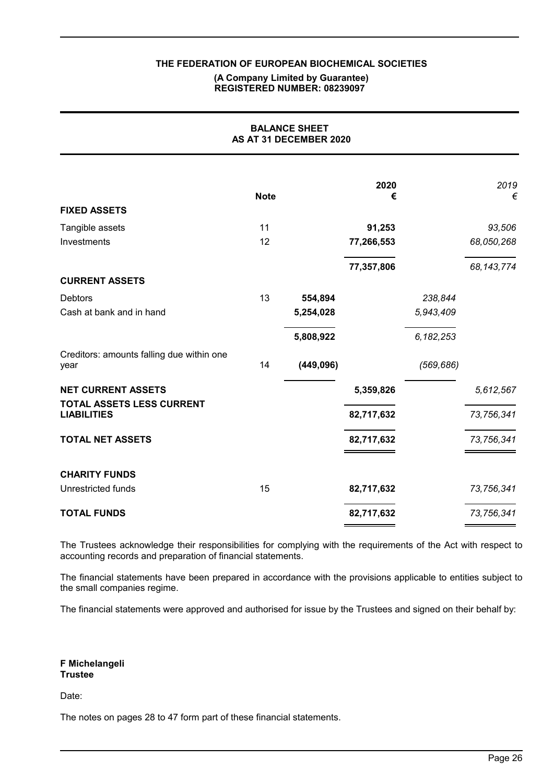#### **(A Company Limited by Guarantee) REGISTERED NUMBER: 08239097**

| <b>BALANCE SHEET</b><br>AS AT 31 DECEMBER 2020    |             |            |            |             |              |
|---------------------------------------------------|-------------|------------|------------|-------------|--------------|
|                                                   | <b>Note</b> |            | 2020<br>€  |             | 2019<br>€    |
| <b>FIXED ASSETS</b>                               |             |            |            |             |              |
| Tangible assets                                   | 11          |            | 91,253     |             | 93,506       |
| Investments                                       | 12          |            | 77,266,553 |             | 68,050,268   |
|                                                   |             |            | 77,357,806 |             | 68, 143, 774 |
| <b>CURRENT ASSETS</b>                             |             |            |            |             |              |
| <b>Debtors</b>                                    | 13          | 554,894    |            | 238,844     |              |
| Cash at bank and in hand                          |             | 5,254,028  |            | 5,943,409   |              |
|                                                   |             | 5,808,922  |            | 6, 182, 253 |              |
| Creditors: amounts falling due within one<br>year | 14          | (449, 096) |            | (569, 686)  |              |
| <b>NET CURRENT ASSETS</b>                         |             |            | 5,359,826  |             | 5,612,567    |
| TOTAL ASSETS LESS CURRENT<br><b>LIABILITIES</b>   |             |            | 82,717,632 |             | 73,756,341   |
| <b>TOTAL NET ASSETS</b>                           |             |            | 82,717,632 |             | 73,756,341   |
| <b>CHARITY FUNDS</b>                              |             |            |            |             |              |
| Unrestricted funds                                | 15          |            | 82,717,632 |             | 73,756,341   |
| <b>TOTAL FUNDS</b>                                |             |            | 82,717,632 |             | 73,756,341   |

The Trustees acknowledge their responsibilities for complying with the requirements of the Act with respect to accounting records and preparation of financial statements.

The financial statements have been prepared in accordance with the provisions applicable to entities subject to the small companies regime.

The financial statements were approved and authorised for issue by the Trustees and signed on their behalf by:

**F Michelangeli Trustee**

Date:

The notes on pages 28 to 47 form part of these financial statements.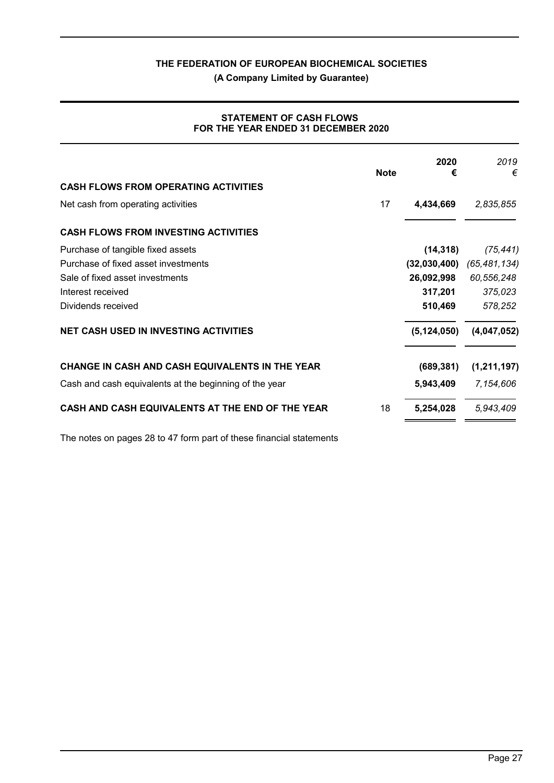**(A Company Limited by Guarantee)**

| <b>STATEMENT OF CASH FLOWS</b>      |  |
|-------------------------------------|--|
| FOR THE YEAR ENDED 31 DECEMBER 2020 |  |

|                                                        | <b>Note</b> | 2020<br>€     | 2019<br>€     |
|--------------------------------------------------------|-------------|---------------|---------------|
| <b>CASH FLOWS FROM OPERATING ACTIVITIES</b>            |             |               |               |
| Net cash from operating activities                     | 17          | 4,434,669     | 2,835,855     |
| <b>CASH FLOWS FROM INVESTING ACTIVITIES</b>            |             |               |               |
| Purchase of tangible fixed assets                      |             | (14, 318)     | (75, 441)     |
| Purchase of fixed asset investments                    |             | (32,030,400)  | (65,481,134)  |
| Sale of fixed asset investments                        |             | 26,092,998    | 60,556,248    |
| Interest received                                      |             | 317,201       | 375,023       |
| Dividends received                                     |             | 510,469       | 578,252       |
| <b>NET CASH USED IN INVESTING ACTIVITIES</b>           |             | (5, 124, 050) | (4,047,052)   |
| CHANGE IN CASH AND CASH EQUIVALENTS IN THE YEAR        |             | (689, 381)    | (1, 211, 197) |
| Cash and cash equivalents at the beginning of the year |             | 5,943,409     | 7,154,606     |
| CASH AND CASH EQUIVALENTS AT THE END OF THE YEAR       | 18          | 5,254,028     | 5,943,409     |

The notes on pages 28 to 47 form part of these financial statements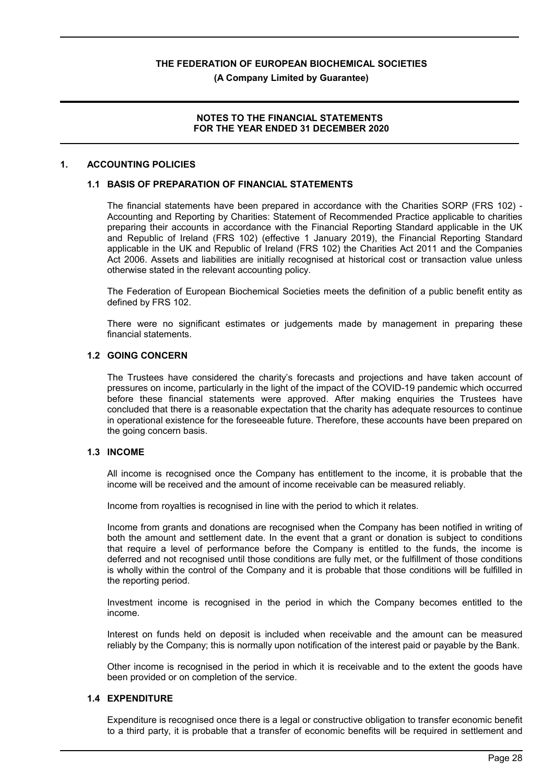**(A Company Limited by Guarantee)**

#### **NOTES TO THE FINANCIAL STATEMENTS FOR THE YEAR ENDED 31 DECEMBER 2020**

#### **1. ACCOUNTING POLICIES**

#### **1.1 BASIS OF PREPARATION OF FINANCIAL STATEMENTS**

The financial statements have been prepared in accordance with the Charities SORP (FRS 102) - Accounting and Reporting by Charities: Statement of Recommended Practice applicable to charities preparing their accounts in accordance with the Financial Reporting Standard applicable in the UK and Republic of Ireland (FRS 102) (effective 1 January 2019), the Financial Reporting Standard applicable in the UK and Republic of Ireland (FRS 102) the Charities Act 2011 and the Companies Act 2006. Assets and liabilities are initially recognised at historical cost or transaction value unless otherwise stated in the relevant accounting policy.

The Federation of European Biochemical Societies meets the definition of a public benefit entity as defined by FRS 102.

There were no significant estimates or judgements made by management in preparing these financial statements.

#### **1.2 GOING CONCERN**

The Trustees have considered the charity's forecasts and projections and have taken account of pressures on income, particularly in the light of the impact of the COVID-19 pandemic which occurred before these financial statements were approved. After making enquiries the Trustees have concluded that there is a reasonable expectation that the charity has adequate resources to continue in operational existence for the foreseeable future. Therefore, these accounts have been prepared on the going concern basis.

#### **1.3 INCOME**

All income is recognised once the Company has entitlement to the income, it is probable that the income will be received and the amount of income receivable can be measured reliably.

Income from royalties is recognised in line with the period to which it relates.

Income from grants and donations are recognised when the Company has been notified in writing of both the amount and settlement date. In the event that a grant or donation is subject to conditions that require a level of performance before the Company is entitled to the funds, the income is deferred and not recognised until those conditions are fully met, or the fulfillment of those conditions is wholly within the control of the Company and it is probable that those conditions will be fulfilled in the reporting period.

Investment income is recognised in the period in which the Company becomes entitled to the income.

Interest on funds held on deposit is included when receivable and the amount can be measured reliably by the Company; this is normally upon notification of the interest paid or payable by the Bank.

Other income is recognised in the period in which it is receivable and to the extent the goods have been provided or on completion of the service.

#### **1.4 EXPENDITURE**

Expenditure is recognised once there is a legal or constructive obligation to transfer economic benefit to a third party, it is probable that a transfer of economic benefits will be required in settlement and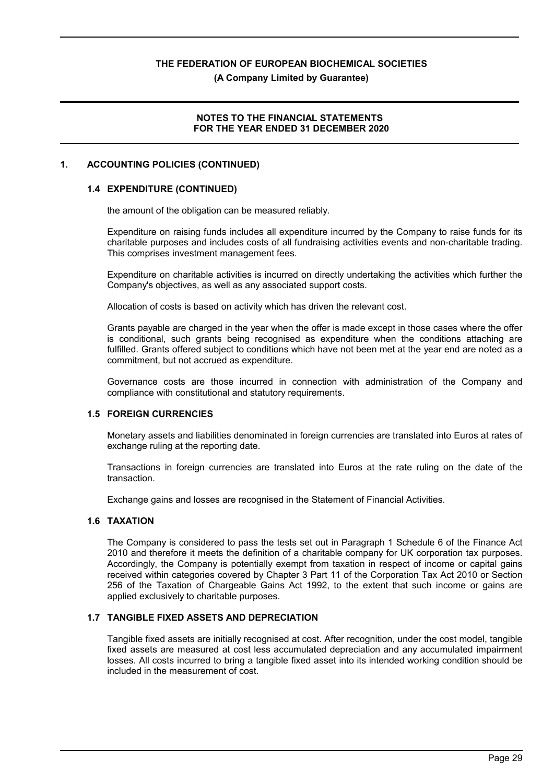**(A Company Limited by Guarantee)**

#### **NOTES TO THE FINANCIAL STATEMENTS FOR THE YEAR ENDED 31 DECEMBER 2020**

#### **1. ACCOUNTING POLICIES (CONTINUED)**

# **1.4 EXPENDITURE (CONTINUED)**

the amount of the obligation can be measured reliably.

Expenditure on raising funds includes all expenditure incurred by the Company to raise funds for its charitable purposes and includes costs of all fundraising activities events and non-charitable trading. This comprises investment management fees.

Expenditure on charitable activities is incurred on directly undertaking the activities which further the Company's objectives, as well as any associated support costs.

Allocation of costs is based on activity which has driven the relevant cost.

Grants payable are charged in the year when the offer is made except in those cases where the offer is conditional, such grants being recognised as expenditure when the conditions attaching are fulfilled. Grants offered subject to conditions which have not been met at the year end are noted as a commitment, but not accrued as expenditure.

Governance costs are those incurred in connection with administration of the Company and compliance with constitutional and statutory requirements.

#### **1.5 FOREIGN CURRENCIES**

Monetary assets and liabilities denominated in foreign currencies are translated into Euros at rates of exchange ruling at the reporting date.

Transactions in foreign currencies are translated into Euros at the rate ruling on the date of the transaction.

Exchange gains and losses are recognised in the Statement of Financial Activities.

## **1.6 TAXATION**

The Company is considered to pass the tests set out in Paragraph 1 Schedule 6 of the Finance Act 2010 and therefore it meets the definition of a charitable company for UK corporation tax purposes. Accordingly, the Company is potentially exempt from taxation in respect of income or capital gains received within categories covered by Chapter 3 Part 11 of the Corporation Tax Act 2010 or Section 256 of the Taxation of Chargeable Gains Act 1992, to the extent that such income or gains are applied exclusively to charitable purposes.

### **1.7 TANGIBLE FIXED ASSETS AND DEPRECIATION**

Tangible fixed assets are initially recognised at cost. After recognition, under the cost model, tangible fixed assets are measured at cost less accumulated depreciation and any accumulated impairment losses. All costs incurred to bring a tangible fixed asset into its intended working condition should be included in the measurement of cost.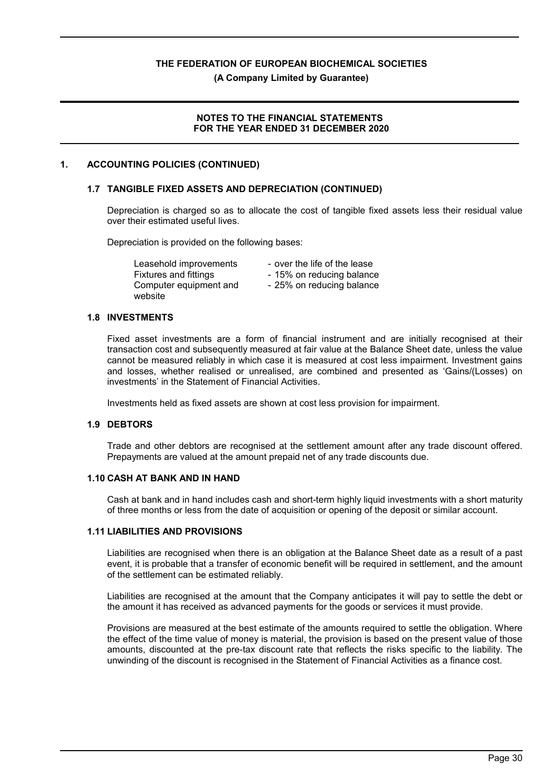**(A Company Limited by Guarantee)**

#### **NOTES TO THE FINANCIAL STATEMENTS FOR THE YEAR ENDED 31 DECEMBER 2020**

#### **1. ACCOUNTING POLICIES (CONTINUED)**

#### **1.7 TANGIBLE FIXED ASSETS AND DEPRECIATION (CONTINUED)**

Depreciation is charged so as to allocate the cost of tangible fixed assets less their residual value over their estimated useful lives.

Depreciation is provided on the following bases:

Leasehold improvements - over the life of the lease Fixtures and fittings - 15% on reducing balance Computer equipment and website

- 
- 25% on reducing balance

#### **1.8 INVESTMENTS**

Fixed asset investments are a form of financial instrument and are initially recognised at their transaction cost and subsequently measured at fair value at the Balance Sheet date, unless the value cannot be measured reliably in which case it is measured at cost less impairment. Investment gains and losses, whether realised or unrealised, are combined and presented as 'Gains/(Losses) on investments' in the Statement of Financial Activities.

Investments held as fixed assets are shown at cost less provision for impairment.

#### **1.9 DEBTORS**

Trade and other debtors are recognised at the settlement amount after any trade discount offered. Prepayments are valued at the amount prepaid net of any trade discounts due.

#### **1.10 CASH AT BANK AND IN HAND**

Cash at bank and in hand includes cash and short-term highly liquid investments with a short maturity of three months or less from the date of acquisition or opening of the deposit or similar account.

#### **1.11 LIABILITIES AND PROVISIONS**

Liabilities are recognised when there is an obligation at the Balance Sheet date as a result of a past event, it is probable that a transfer of economic benefit will be required in settlement, and the amount of the settlement can be estimated reliably.

Liabilities are recognised at the amount that the Company anticipates it will pay to settle the debt or the amount it has received as advanced payments for the goods or services it must provide.

Provisions are measured at the best estimate of the amounts required to settle the obligation. Where the effect of the time value of money is material, the provision is based on the present value of those amounts, discounted at the pre-tax discount rate that reflects the risks specific to the liability. The unwinding of the discount is recognised in the Statement of Financial Activities as a finance cost.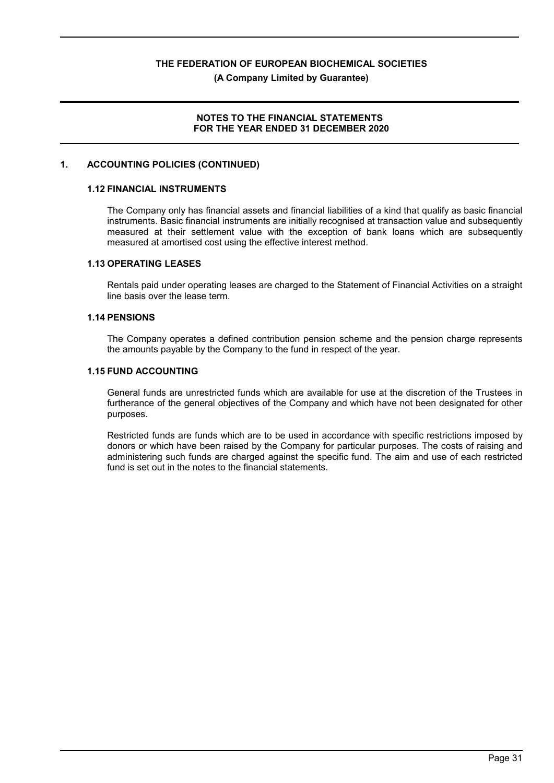**(A Company Limited by Guarantee)**

#### **NOTES TO THE FINANCIAL STATEMENTS FOR THE YEAR ENDED 31 DECEMBER 2020**

#### **1. ACCOUNTING POLICIES (CONTINUED)**

#### **1.12 FINANCIAL INSTRUMENTS**

The Company only has financial assets and financial liabilities of a kind that qualify as basic financial instruments. Basic financial instruments are initially recognised at transaction value and subsequently measured at their settlement value with the exception of bank loans which are subsequently measured at amortised cost using the effective interest method.

#### **1.13 OPERATING LEASES**

Rentals paid under operating leases are charged to the Statement of Financial Activities on a straight line basis over the lease term.

#### **1.14 PENSIONS**

The Company operates a defined contribution pension scheme and the pension charge represents the amounts payable by the Company to the fund in respect of the year.

#### **1.15 FUND ACCOUNTING**

General funds are unrestricted funds which are available for use at the discretion of the Trustees in furtherance of the general objectives of the Company and which have not been designated for other purposes.

Restricted funds are funds which are to be used in accordance with specific restrictions imposed by donors or which have been raised by the Company for particular purposes. The costs of raising and administering such funds are charged against the specific fund. The aim and use of each restricted fund is set out in the notes to the financial statements.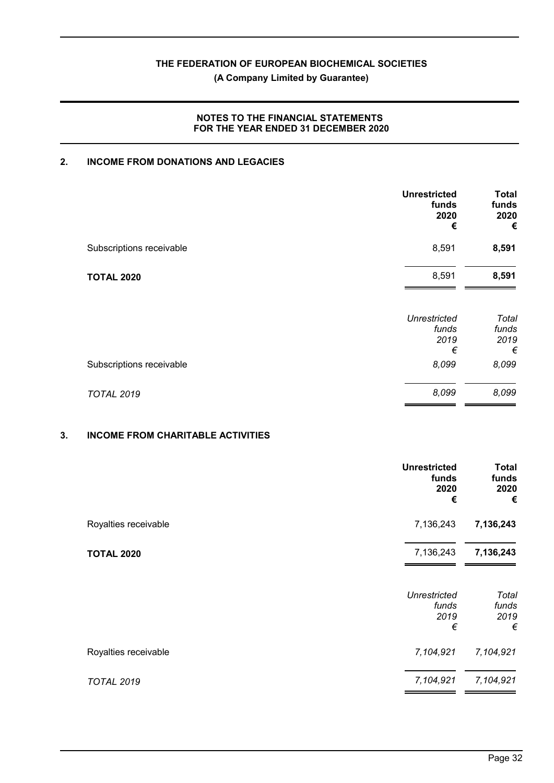**(A Company Limited by Guarantee)**

## **NOTES TO THE FINANCIAL STATEMENTS FOR THE YEAR ENDED 31 DECEMBER 2020**

# **2. INCOME FROM DONATIONS AND LEGACIES**

|                          | <b>Unrestricted</b><br>funds<br>2020<br>€ | <b>Total</b><br>funds<br>2020<br>€ |
|--------------------------|-------------------------------------------|------------------------------------|
| Subscriptions receivable | 8,591                                     | 8,591                              |
| <b>TOTAL 2020</b>        | 8,591                                     | 8,591                              |
|                          | <b>Unrestricted</b><br>funds<br>2019<br>€ | Total<br>funds<br>2019<br>€        |
| Subscriptions receivable | 8,099                                     | 8,099                              |
| <b>TOTAL 2019</b>        | 8,099                                     | 8,099                              |

# **3. INCOME FROM CHARITABLE ACTIVITIES**

|                      | <b>Unrestricted</b><br>funds<br>2020<br>€ | <b>Total</b><br>funds<br>2020<br>€ |
|----------------------|-------------------------------------------|------------------------------------|
| Royalties receivable | 7,136,243                                 | 7,136,243                          |
| <b>TOTAL 2020</b>    | 7,136,243                                 | 7,136,243                          |
|                      | <b>Unrestricted</b><br>funds<br>2019<br>€ | Total<br>funds<br>2019<br>€        |
| Royalties receivable | 7,104,921                                 | 7,104,921                          |
| <b>TOTAL 2019</b>    | 7,104,921                                 | 7,104,921                          |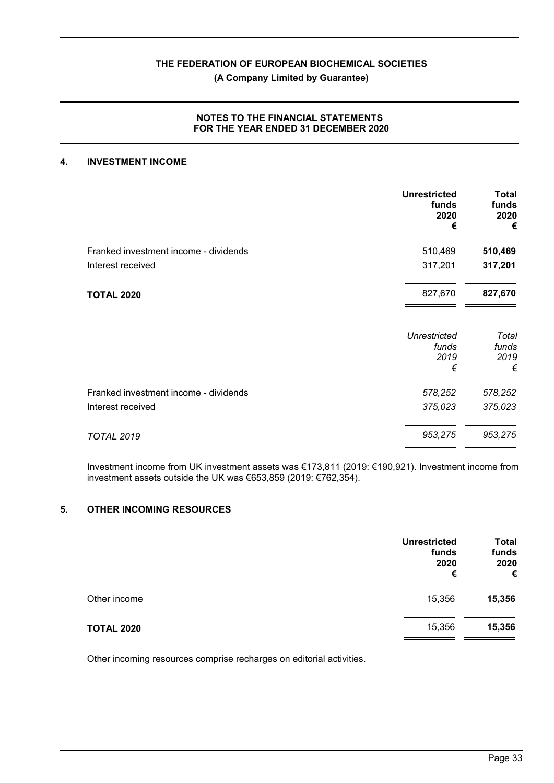## **(A Company Limited by Guarantee)**

## **NOTES TO THE FINANCIAL STATEMENTS FOR THE YEAR ENDED 31 DECEMBER 2020**

#### **4. INVESTMENT INCOME**

|                                       | <b>Unrestricted</b><br>funds<br>2020<br>€ | Total<br>funds<br>2020<br>€ |
|---------------------------------------|-------------------------------------------|-----------------------------|
| Franked investment income - dividends | 510,469                                   | 510,469                     |
| Interest received                     | 317,201                                   | 317,201                     |
| <b>TOTAL 2020</b>                     | 827,670                                   | 827,670                     |
|                                       | <b>Unrestricted</b><br>funds              | Total<br>funds              |
|                                       | 2019                                      | 2019                        |
|                                       | €                                         | €                           |
| Franked investment income - dividends | 578,252                                   | 578,252                     |
| Interest received                     | 375,023                                   | 375,023                     |
| <b>TOTAL 2019</b>                     | 953,275                                   | 953,275                     |

Investment income from UK investment assets was €173,811 (2019: €190,921). Investment income from investment assets outside the UK was €653,859 (2019: €762,354).

### **5. OTHER INCOMING RESOURCES**

|                   | <b>Unrestricted</b><br>funds<br>2020<br>€ | <b>Total</b><br>funds<br>2020<br>€ |
|-------------------|-------------------------------------------|------------------------------------|
| Other income      | 15,356                                    | 15,356                             |
| <b>TOTAL 2020</b> | 15,356                                    | 15,356                             |

Other incoming resources comprise recharges on editorial activities.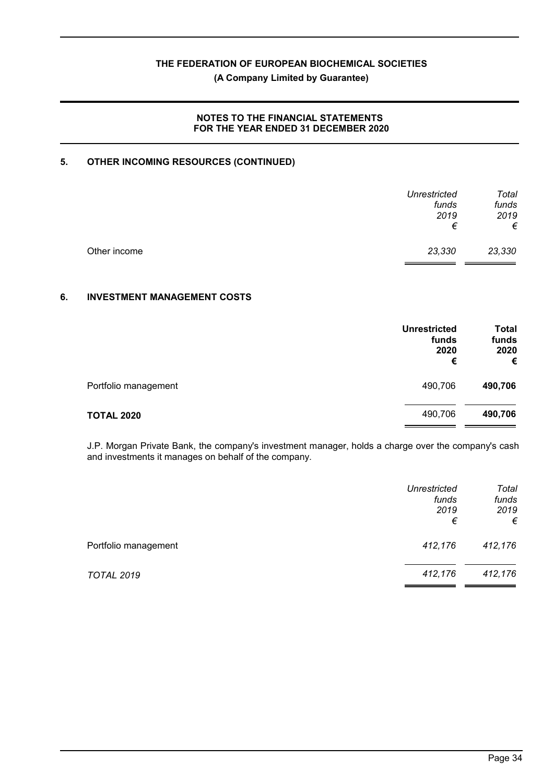**(A Company Limited by Guarantee)**

### **NOTES TO THE FINANCIAL STATEMENTS FOR THE YEAR ENDED 31 DECEMBER 2020**

# **5. OTHER INCOMING RESOURCES (CONTINUED)**

|              | <b>Unrestricted</b><br>funds<br>2019<br>€ | Total<br>funds<br>2019<br>€ |
|--------------|-------------------------------------------|-----------------------------|
| Other income | 23,330                                    | 23,330                      |

## **6. INVESTMENT MANAGEMENT COSTS**

|                      | <b>Unrestricted</b><br>funds<br>2020<br>€ | <b>Total</b><br>funds<br>2020<br>€ |
|----------------------|-------------------------------------------|------------------------------------|
| Portfolio management | 490,706                                   | 490,706                            |
| <b>TOTAL 2020</b>    | 490,706                                   | 490,706                            |

J.P. Morgan Private Bank, the company's investment manager, holds a charge over the company's cash and investments it manages on behalf of the company.

|                      | Unrestricted<br>funds<br>2019<br>€ | Total<br>funds<br>2019<br>€ |
|----------------------|------------------------------------|-----------------------------|
| Portfolio management | 412,176                            | 412,176                     |
| <b>TOTAL 2019</b>    | 412,176                            | 412,176                     |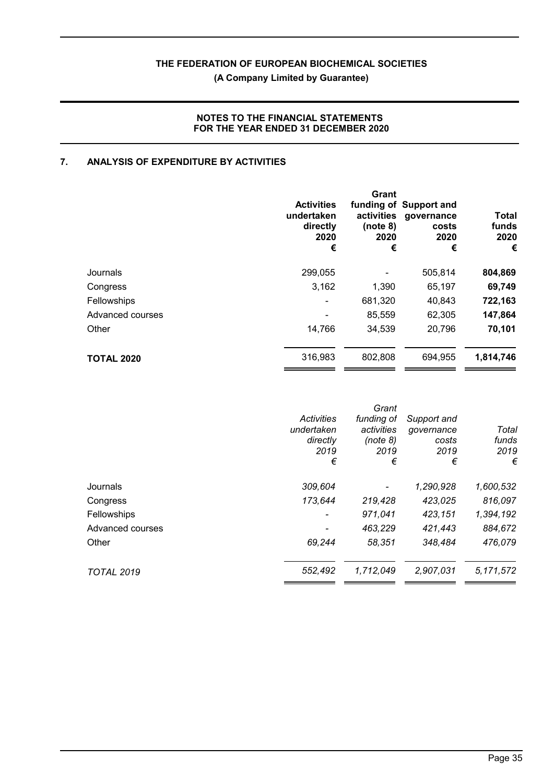**(A Company Limited by Guarantee)**

# **NOTES TO THE FINANCIAL STATEMENTS FOR THE YEAR ENDED 31 DECEMBER 2020**

# **7. ANALYSIS OF EXPENDITURE BY ACTIVITIES**

|                   | <b>Activities</b><br>undertaken<br>directly<br>2020<br>€ | Grant<br>activities<br>(note 8)<br>2020<br>€ | funding of Support and<br>governance<br>costs<br>2020<br>€ | <b>Total</b><br>funds<br>2020<br>€ |
|-------------------|----------------------------------------------------------|----------------------------------------------|------------------------------------------------------------|------------------------------------|
| Journals          | 299,055                                                  |                                              | 505,814                                                    | 804,869                            |
| Congress          | 3,162                                                    | 1,390                                        | 65,197                                                     | 69,749                             |
| Fellowships       |                                                          | 681,320                                      | 40,843                                                     | 722,163                            |
| Advanced courses  |                                                          | 85,559                                       | 62,305                                                     | 147,864                            |
| Other             | 14,766                                                   | 34,539                                       | 20,796                                                     | 70,101                             |
| <b>TOTAL 2020</b> | 316,983                                                  | 802,808                                      | 694,955                                                    | 1,814,746                          |

|                   | Activities<br>undertaken<br>directly<br>2019<br>€ | Grant<br>funding of<br>activities<br>(note 8)<br>2019<br>€ | Support and<br>governance<br>costs<br>2019<br>€ | Total<br>funds<br>2019<br>€ |
|-------------------|---------------------------------------------------|------------------------------------------------------------|-------------------------------------------------|-----------------------------|
| Journals          | 309,604                                           |                                                            | 1,290,928                                       | 1,600,532                   |
| Congress          | 173,644                                           | 219,428                                                    | 423,025                                         | 816,097                     |
| Fellowships       |                                                   | 971,041                                                    | 423,151                                         | 1,394,192                   |
| Advanced courses  |                                                   | 463,229                                                    | 421,443                                         | 884,672                     |
| Other             | 69,244                                            | 58,351                                                     | 348,484                                         | 476,079                     |
| <b>TOTAL 2019</b> | 552,492                                           | 1,712,049                                                  | 2,907,031                                       | 5, 171, 572                 |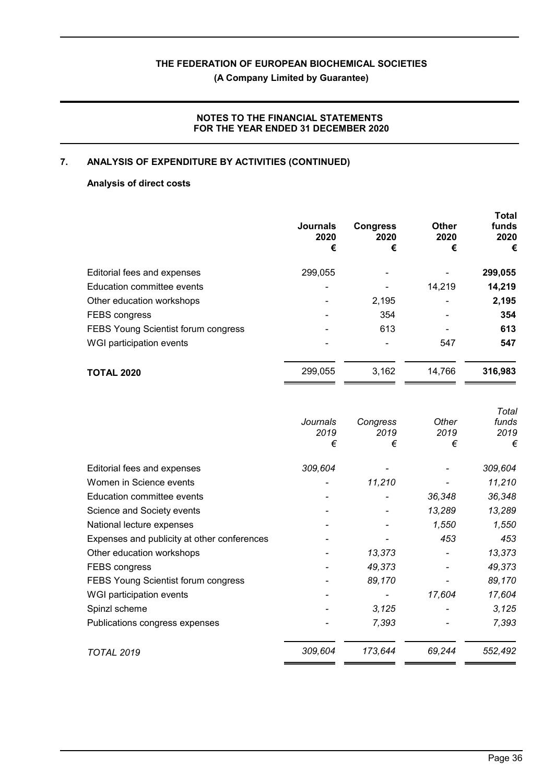**(A Company Limited by Guarantee)**

# **NOTES TO THE FINANCIAL STATEMENTS FOR THE YEAR ENDED 31 DECEMBER 2020**

# **7. ANALYSIS OF EXPENDITURE BY ACTIVITIES (CONTINUED)**

# **Analysis of direct costs**

|                                     | <b>Journals</b><br>2020<br>€ | <b>Congress</b><br>2020<br>€ | <b>Other</b><br>2020<br>€ | <b>Total</b><br>funds<br>2020<br>€ |
|-------------------------------------|------------------------------|------------------------------|---------------------------|------------------------------------|
| Editorial fees and expenses         | 299,055                      |                              |                           | 299,055                            |
| Education committee events          |                              |                              | 14,219                    | 14,219                             |
| Other education workshops           |                              | 2,195                        |                           | 2,195                              |
| <b>FEBS congress</b>                |                              | 354                          |                           | 354                                |
| FEBS Young Scientist forum congress |                              | 613                          |                           | 613                                |
| WGI participation events            |                              |                              | 547                       | 547                                |
| <b>TOTAL 2020</b>                   | 299,055                      | 3,162                        | 14,766                    | 316,983                            |
|                                     |                              |                              |                           |                                    |

|          |           |           | Total     |
|----------|-----------|-----------|-----------|
| Journals | Congress  | Other     | funds     |
|          |           |           | 2019      |
|          |           |           | €         |
| 309,604  |           |           | 309,604   |
|          | 11,210    |           | 11,210    |
|          |           | 36,348    | 36,348    |
|          |           | 13,289    | 13,289    |
|          |           | 1,550     | 1,550     |
|          |           | 453       | 453       |
|          | 13,373    |           | 13,373    |
|          | 49,373    |           | 49,373    |
|          | 89,170    |           | 89,170    |
|          |           | 17,604    | 17,604    |
|          | 3,125     |           | 3,125     |
|          | 7,393     |           | 7,393     |
| 309,604  | 173,644   | 69,244    | 552,492   |
|          | 2019<br>€ | 2019<br>€ | 2019<br>€ |

**Total**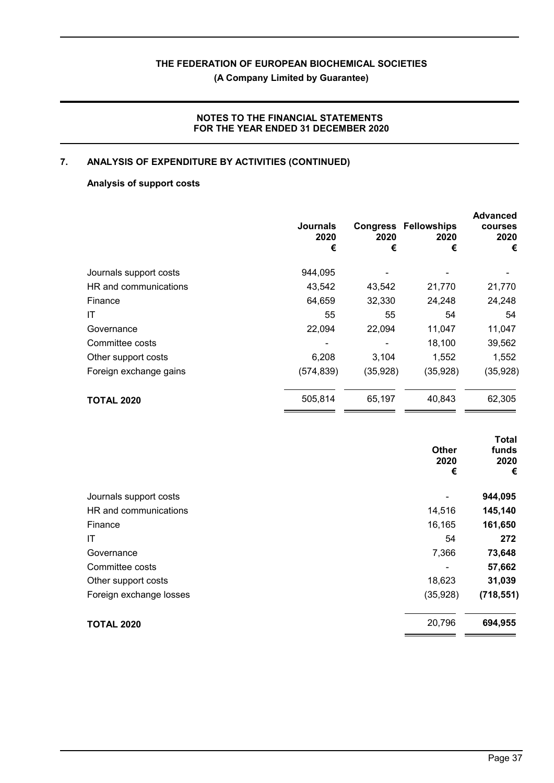**(A Company Limited by Guarantee)**

# **NOTES TO THE FINANCIAL STATEMENTS FOR THE YEAR ENDED 31 DECEMBER 2020**

# **7. ANALYSIS OF EXPENDITURE BY ACTIVITIES (CONTINUED)**

# **Analysis of support costs**

|                        | <b>Journals</b><br>2020<br>€ | 2020<br>€ | <b>Congress Fellowships</b><br>2020<br>€ | <b>Advanced</b><br>courses<br>2020<br>€ |
|------------------------|------------------------------|-----------|------------------------------------------|-----------------------------------------|
| Journals support costs | 944,095                      |           |                                          |                                         |
| HR and communications  | 43,542                       | 43,542    | 21,770                                   | 21,770                                  |
| Finance                | 64,659                       | 32,330    | 24,248                                   | 24,248                                  |
| ΙT                     | 55                           | 55        | 54                                       | 54                                      |
| Governance             | 22,094                       | 22,094    | 11,047                                   | 11,047                                  |
| Committee costs        |                              |           | 18,100                                   | 39,562                                  |
| Other support costs    | 6,208                        | 3,104     | 1,552                                    | 1,552                                   |
| Foreign exchange gains | (574, 839)                   | (35, 928) | (35,928)                                 | (35, 928)                               |
| <b>TOTAL 2020</b>      | 505,814                      | 65,197    | 40,843                                   | 62,305                                  |

|                         | <b>Other</b><br>2020<br>€ | Total<br>funds<br>2020<br>€ |
|-------------------------|---------------------------|-----------------------------|
| Journals support costs  |                           | 944,095                     |
| HR and communications   | 14,516                    | 145,140                     |
| Finance                 | 16,165                    | 161,650                     |
| IT                      | 54                        | 272                         |
| Governance              | 7,366                     | 73,648                      |
| Committee costs         |                           | 57,662                      |
| Other support costs     | 18,623                    | 31,039                      |
| Foreign exchange losses | (35, 928)                 | (718, 551)                  |
| <b>TOTAL 2020</b>       | 20,796                    | 694,955                     |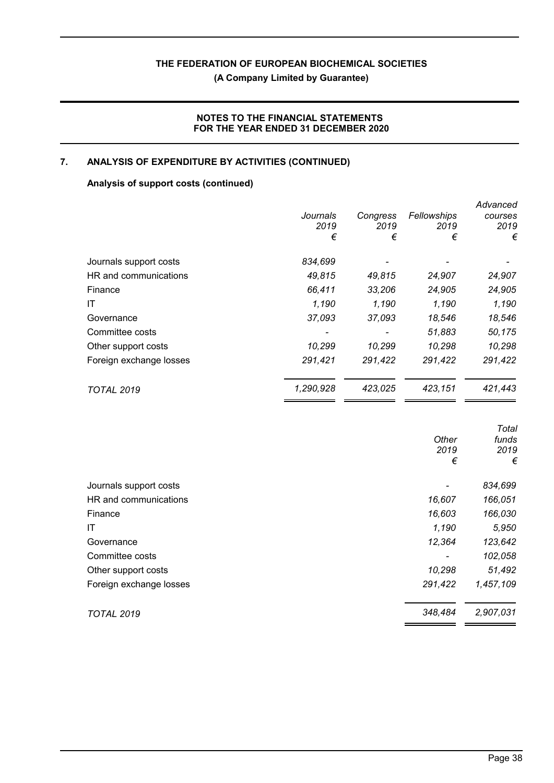**(A Company Limited by Guarantee)**

# **NOTES TO THE FINANCIAL STATEMENTS FOR THE YEAR ENDED 31 DECEMBER 2020**

# **7. ANALYSIS OF EXPENDITURE BY ACTIVITIES (CONTINUED)**

# **Analysis of support costs (continued)**

|                         | Journals<br>2019<br>€ | Congress<br>2019<br>€ | Fellowships<br>2019<br>€ | Advanced<br>courses<br>2019<br>€ |
|-------------------------|-----------------------|-----------------------|--------------------------|----------------------------------|
| Journals support costs  | 834,699               |                       |                          |                                  |
| HR and communications   | 49,815                | 49,815                | 24,907                   | 24,907                           |
| Finance                 | 66,411                | 33,206                | 24,905                   | 24,905                           |
| ΙT                      | 1,190                 | 1,190                 | 1,190                    | 1,190                            |
| Governance              | 37,093                | 37,093                | 18,546                   | 18,546                           |
| Committee costs         |                       |                       | 51,883                   | 50,175                           |
| Other support costs     | 10,299                | 10,299                | 10,298                   | 10,298                           |
| Foreign exchange losses | 291,421               | 291,422               | 291,422                  | 291,422                          |
| <b>TOTAL 2019</b>       | 1,290,928             | 423,025               | 423,151                  | 421,443                          |

|                         |         | Total     |
|-------------------------|---------|-----------|
|                         | Other   | funds     |
|                         | 2019    | 2019      |
|                         | €       | €         |
| Journals support costs  |         | 834,699   |
| HR and communications   | 16,607  | 166,051   |
| Finance                 | 16,603  | 166,030   |
| IT                      | 1,190   | 5,950     |
| Governance              | 12,364  | 123,642   |
| Committee costs         |         | 102,058   |
| Other support costs     | 10,298  | 51,492    |
| Foreign exchange losses | 291,422 | 1,457,109 |
| <b>TOTAL 2019</b>       | 348,484 | 2,907,031 |
|                         |         |           |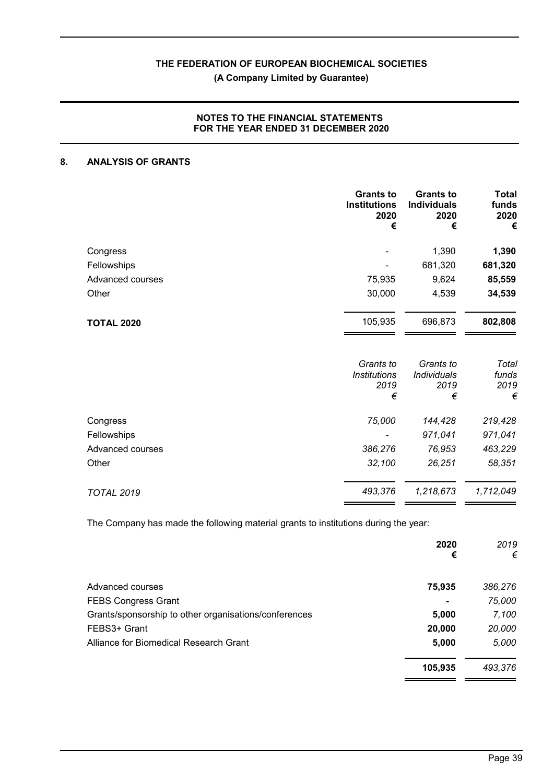**(A Company Limited by Guarantee)**

## **NOTES TO THE FINANCIAL STATEMENTS FOR THE YEAR ENDED 31 DECEMBER 2020**

# **8. ANALYSIS OF GRANTS**

|                   | <b>Grants to</b><br><b>Institutions</b><br>2020<br>€ | <b>Grants to</b><br><b>Individuals</b><br>2020<br>€ | <b>Total</b><br>funds<br>2020<br>€ |
|-------------------|------------------------------------------------------|-----------------------------------------------------|------------------------------------|
| Congress          |                                                      | 1,390                                               | 1,390                              |
| Fellowships       |                                                      | 681,320                                             | 681,320                            |
| Advanced courses  | 75,935                                               | 9,624                                               | 85,559                             |
| Other             | 30,000                                               | 4,539                                               | 34,539                             |
| <b>TOTAL 2020</b> | 105,935                                              | 696,873                                             | 802,808                            |
|                   | Grants to<br><b>Institutions</b><br>2019<br>€        | Grants to<br><b>Individuals</b><br>2019<br>€        | Total<br>funds<br>2019<br>€        |
| Congress          | 75,000                                               | 144,428                                             | 219,428                            |
| Fellowships       |                                                      | 971,041                                             | 971,041                            |
| Advanced courses  | 386,276                                              | 76,953                                              | 463,229                            |
| Other             | 32,100                                               | 26,251                                              | 58,351                             |
| <b>TOTAL 2019</b> | 493,376                                              | 1,218,673                                           | 1,712,049                          |

The Company has made the following material grants to institutions during the year:

|                                                       | 2020<br>€      | 2019<br>€ |
|-------------------------------------------------------|----------------|-----------|
| Advanced courses                                      | 75,935         | 386,276   |
| <b>FEBS Congress Grant</b>                            | $\blacksquare$ | 75,000    |
| Grants/sponsorship to other organisations/conferences | 5,000          | 7,100     |
| FEBS3+ Grant                                          | 20,000         | 20,000    |
| Alliance for Biomedical Research Grant                | 5,000          | 5,000     |
|                                                       | 105,935        | 493,376   |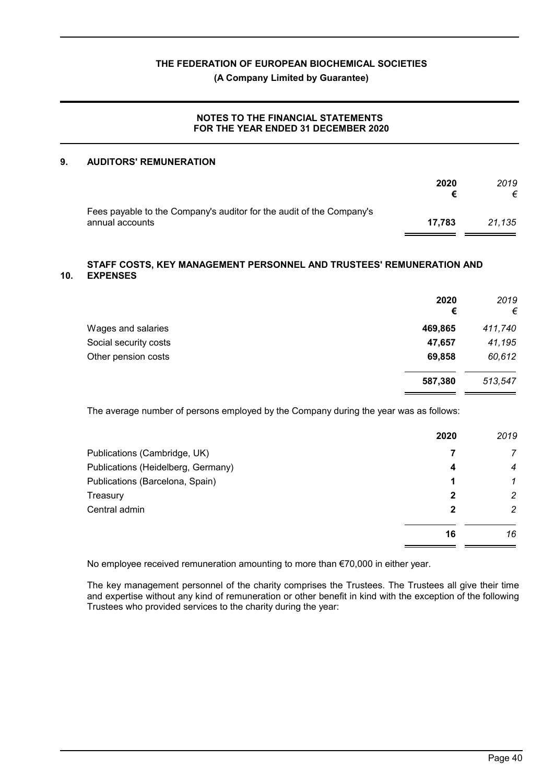**(A Company Limited by Guarantee)**

#### **NOTES TO THE FINANCIAL STATEMENTS FOR THE YEAR ENDED 31 DECEMBER 2020**

#### **9. AUDITORS' REMUNERATION**

|                                                                                         | 2020   | 2019<br>€ |
|-----------------------------------------------------------------------------------------|--------|-----------|
| Fees payable to the Company's auditor for the audit of the Company's<br>annual accounts | 17.783 | 21.135    |

#### **10. STAFF COSTS, KEY MANAGEMENT PERSONNEL AND TRUSTEES' REMUNERATION AND EXPENSES**

|                       | 2020<br>€ | 2019<br>€ |
|-----------------------|-----------|-----------|
| Wages and salaries    | 469,865   | 411,740   |
| Social security costs | 47,657    | 41,195    |
| Other pension costs   | 69,858    | 60,612    |
|                       | 587,380   | 513,547   |

The average number of persons employed by the Company during the year was as follows:

|                                    | 2020 | 2019           |
|------------------------------------|------|----------------|
| Publications (Cambridge, UK)       |      | 7              |
| Publications (Heidelberg, Germany) | 4    | 4              |
| Publications (Barcelona, Spain)    |      | 1              |
| Treasury                           | 2    | $\overline{c}$ |
| Central admin                      | 2    | 2              |
|                                    | 16   | 16             |

No employee received remuneration amounting to more than €70,000 in either year.

The key management personnel of the charity comprises the Trustees. The Trustees all give their time and expertise without any kind of remuneration or other benefit in kind with the exception of the following Trustees who provided services to the charity during the year: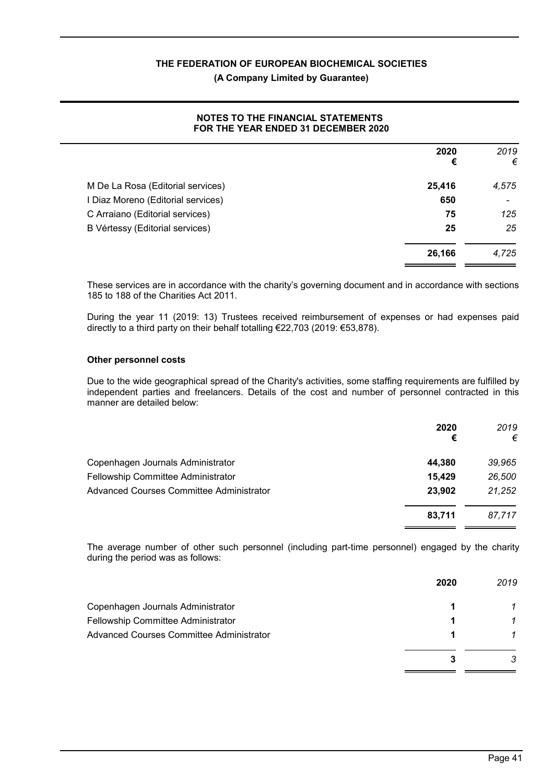## **(A Company Limited by Guarantee)**

#### **NOTES TO THE FINANCIAL STATEMENTS FOR THE YEAR ENDED 31 DECEMBER 2020**

|                                    | 2020<br>€ | 2019<br>€                |
|------------------------------------|-----------|--------------------------|
| M De La Rosa (Editorial services)  | 25,416    | 4,575                    |
| I Diaz Moreno (Editorial services) | 650       | $\overline{\phantom{a}}$ |
| C Arraiano (Editorial services)    | 75        | 125                      |
| B Vértessy (Editorial services)    | 25        | 25                       |
|                                    | 26,166    | 4,725                    |

These services are in accordance with the charity's governing document and in accordance with sections 185 to 188 of the Charities Act 2011.

During the year 11 (2019: 13) Trustees received reimbursement of expenses or had expenses paid directly to a third party on their behalf totalling €22,703 (2019: €53,878).

#### **Other personnel costs**

Due to the wide geographical spread of the Charity's activities, some staffing requirements are fulfilled by independent parties and freelancers. Details of the cost and number of personnel contracted in this manner are detailed below:

|                                                 | 2020<br>€ | 2019<br>€ |
|-------------------------------------------------|-----------|-----------|
| Copenhagen Journals Administrator               | 44.380    | 39,965    |
| Fellowship Committee Administrator              | 15,429    | 26,500    |
| <b>Advanced Courses Committee Administrator</b> | 23,902    | 21,252    |
|                                                 | 83,711    | 87.717    |

The average number of other such personnel (including part-time personnel) engaged by the charity during the period was as follows:

|                                          | 2020 | 2019 |
|------------------------------------------|------|------|
| Copenhagen Journals Administrator        |      |      |
| Fellowship Committee Administrator       | л    |      |
| Advanced Courses Committee Administrator |      |      |
|                                          |      | 3    |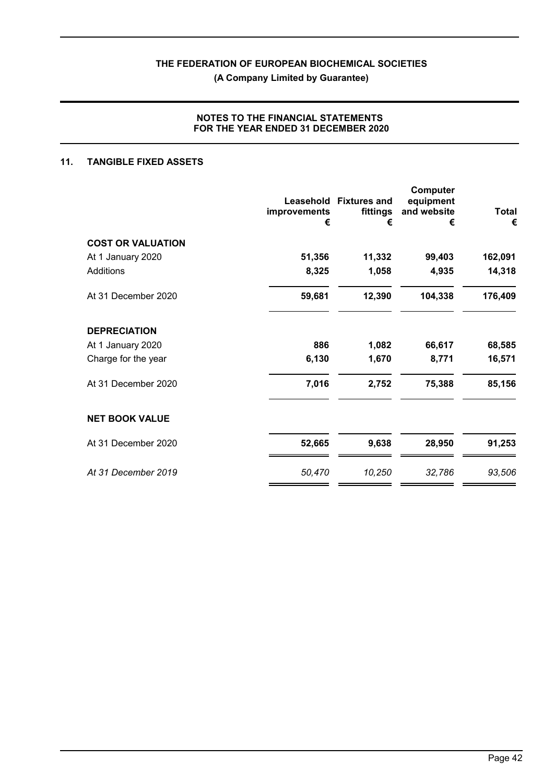**(A Company Limited by Guarantee)**

## **NOTES TO THE FINANCIAL STATEMENTS FOR THE YEAR ENDED 31 DECEMBER 2020**

# **11. TANGIBLE FIXED ASSETS**

|                          | Leasehold<br>improvements<br>€ | <b>Fixtures and</b><br>fittings<br>€ | <b>Computer</b><br>equipment<br>and website<br>€ | <b>Total</b><br>€ |
|--------------------------|--------------------------------|--------------------------------------|--------------------------------------------------|-------------------|
| <b>COST OR VALUATION</b> |                                |                                      |                                                  |                   |
| At 1 January 2020        | 51,356                         | 11,332                               | 99,403                                           | 162,091           |
| Additions                | 8,325                          | 1,058                                | 4,935                                            | 14,318            |
| At 31 December 2020      | 59,681                         | 12,390                               | 104,338                                          | 176,409           |
| <b>DEPRECIATION</b>      |                                |                                      |                                                  |                   |
| At 1 January 2020        | 886                            | 1,082                                | 66,617                                           | 68,585            |
| Charge for the year      | 6,130                          | 1,670                                | 8,771                                            | 16,571            |
| At 31 December 2020      | 7,016                          | 2,752                                | 75,388                                           | 85,156            |
| <b>NET BOOK VALUE</b>    |                                |                                      |                                                  |                   |
| At 31 December 2020      | 52,665                         | 9,638                                | 28,950                                           | 91,253            |
| At 31 December 2019      | 50,470                         | 10,250                               | 32,786                                           | 93,506            |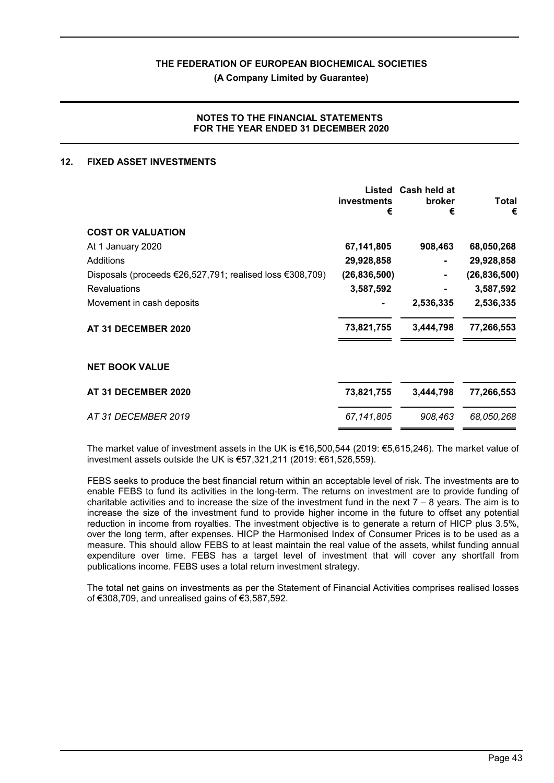**(A Company Limited by Guarantee)**

#### **NOTES TO THE FINANCIAL STATEMENTS FOR THE YEAR ENDED 31 DECEMBER 2020**

#### **12. FIXED ASSET INVESTMENTS**

|                                                          | Listed<br>investments<br>€ | Cash held at<br>broker<br>€ | Total<br>€     |
|----------------------------------------------------------|----------------------------|-----------------------------|----------------|
| <b>COST OR VALUATION</b>                                 |                            |                             |                |
| At 1 January 2020                                        | 67,141,805                 | 908,463                     | 68,050,268     |
| Additions                                                | 29,928,858                 |                             | 29,928,858     |
| Disposals (proceeds €26,527,791; realised loss €308,709) | (26, 836, 500)             |                             | (26, 836, 500) |
| <b>Revaluations</b>                                      | 3,587,592                  |                             | 3,587,592      |
| Movement in cash deposits                                |                            | 2,536,335                   | 2,536,335      |
| AT 31 DECEMBER 2020                                      | 73,821,755                 | 3,444,798                   | 77,266,553     |
| <b>NET BOOK VALUE</b>                                    |                            |                             |                |
| AT 31 DECEMBER 2020                                      | 73,821,755                 | 3,444,798                   | 77,266,553     |
| AT 31 DECEMBER 2019                                      | 67,141,805                 | 908,463                     | 68,050,268     |
|                                                          |                            |                             |                |

The market value of investment assets in the UK is €16,500,544 (2019: €5,615,246). The market value of investment assets outside the UK is €57,321,211 (2019: €61,526,559).

FEBS seeks to produce the best financial return within an acceptable level of risk. The investments are to enable FEBS to fund its activities in the long-term. The returns on investment are to provide funding of charitable activities and to increase the size of the investment fund in the next  $7 - 8$  years. The aim is to increase the size of the investment fund to provide higher income in the future to offset any potential reduction in income from royalties. The investment objective is to generate a return of HICP plus 3.5%, over the long term, after expenses. HICP the Harmonised Index of Consumer Prices is to be used as a measure. This should allow FEBS to at least maintain the real value of the assets, whilst funding annual expenditure over time. FEBS has a target level of investment that will cover any shortfall from publications income. FEBS uses a total return investment strategy.

The total net gains on investments as per the Statement of Financial Activities comprises realised losses of €308,709, and unrealised gains of €3,587,592.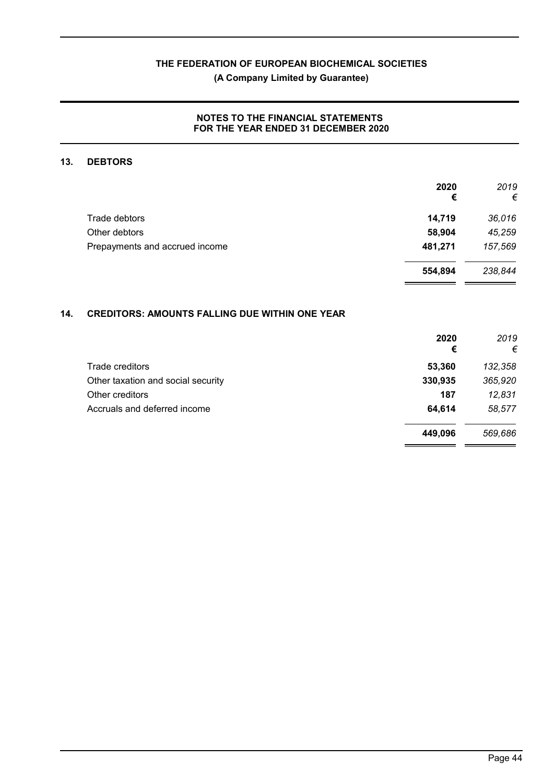# **(A Company Limited by Guarantee)**

## **NOTES TO THE FINANCIAL STATEMENTS FOR THE YEAR ENDED 31 DECEMBER 2020**

### **13. DEBTORS**

|                                | 2020<br>€ | 2019<br>€ |
|--------------------------------|-----------|-----------|
| Trade debtors                  | 14,719    | 36,016    |
| Other debtors                  | 58,904    | 45,259    |
| Prepayments and accrued income | 481,271   | 157,569   |
|                                | 554,894   | 238,844   |
|                                |           |           |

# **14. CREDITORS: AMOUNTS FALLING DUE WITHIN ONE YEAR**

|                                    | 2020<br>€ | 2019<br>€ |
|------------------------------------|-----------|-----------|
| Trade creditors                    | 53,360    | 132,358   |
| Other taxation and social security | 330,935   | 365,920   |
| Other creditors                    | 187       | 12,831    |
| Accruals and deferred income       | 64,614    | 58,577    |
|                                    | 449,096   | 569,686   |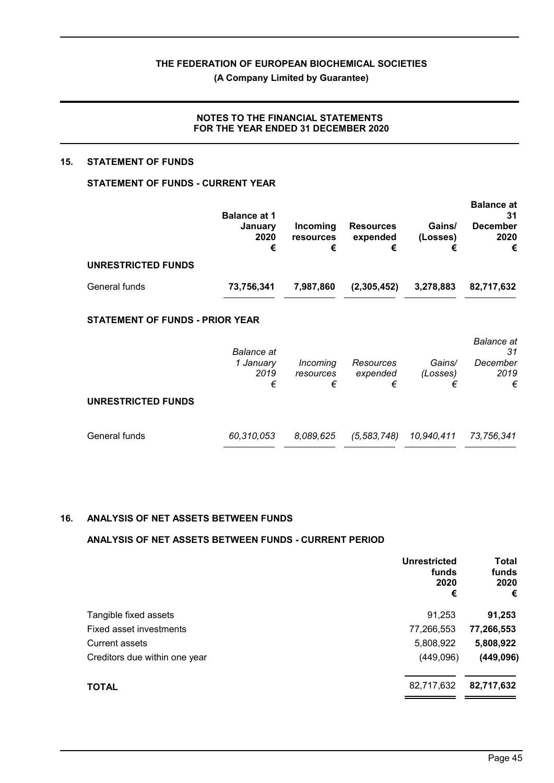**(A Company Limited by Guarantee)**

### **NOTES TO THE FINANCIAL STATEMENTS FOR THE YEAR ENDED 31 DECEMBER 2020**

#### **15. STATEMENT OF FUNDS**

# **STATEMENT OF FUNDS - CURRENT YEAR**

|                    | <b>Balance at 1</b>  |                                   |                                   |                         | <b>Balance at</b><br>31      |
|--------------------|----------------------|-----------------------------------|-----------------------------------|-------------------------|------------------------------|
|                    | January<br>2020<br>€ | Incoming<br><b>resources</b><br>€ | <b>Resources</b><br>expended<br>€ | Gains/<br>(Losses)<br>€ | <b>December</b><br>2020<br>€ |
| UNRESTRICTED FUNDS |                      |                                   |                                   |                         |                              |
| General funds      | 73.756.341           | 7.987.860                         | (2,305,452)                       | 3,278,883               | 82.717.632                   |

# **STATEMENT OF FUNDS - PRIOR YEAR**

|                           | <b>Balance</b> at      |                            |                            |                         | <b>Balance</b> at<br>31 |
|---------------------------|------------------------|----------------------------|----------------------------|-------------------------|-------------------------|
|                           | 1 January<br>2019<br>€ | Incoming<br>resources<br>€ | Resources<br>expended<br>€ | Gains/<br>(Losses)<br>€ | December<br>2019<br>€   |
| <b>UNRESTRICTED FUNDS</b> |                        |                            |                            |                         |                         |
| General funds             | 60,310,053             | 8,089,625                  | (5, 583, 748)              | 10,940,411              | 73,756,341              |

#### **16. ANALYSIS OF NET ASSETS BETWEEN FUNDS**

#### **ANALYSIS OF NET ASSETS BETWEEN FUNDS - CURRENT PERIOD**

|                               | <b>Unrestricted</b><br>funds<br>2020<br>€ | Total<br>funds<br>2020<br>€ |
|-------------------------------|-------------------------------------------|-----------------------------|
| Tangible fixed assets         | 91,253                                    | 91,253                      |
| Fixed asset investments       | 77,266,553                                | 77,266,553                  |
| Current assets                | 5,808,922                                 | 5,808,922                   |
| Creditors due within one year | (449,096)                                 | (449, 096)                  |
| <b>TOTAL</b>                  | 82,717,632                                | 82,717,632                  |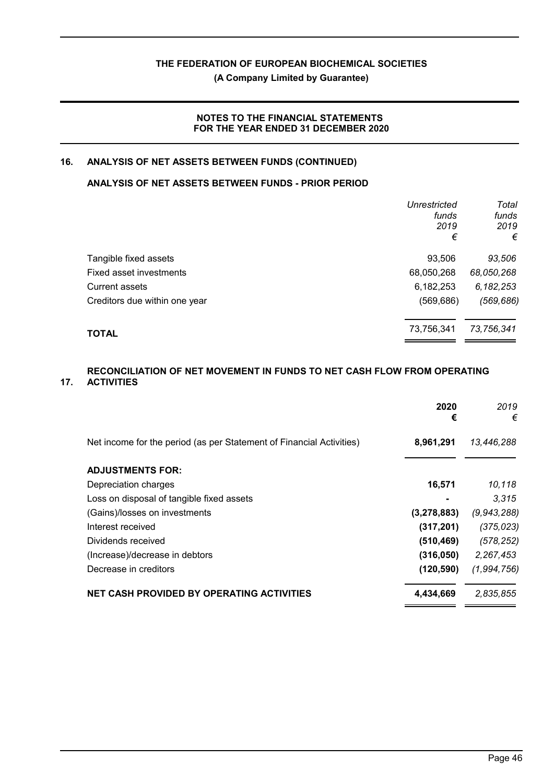**(A Company Limited by Guarantee)**

## **NOTES TO THE FINANCIAL STATEMENTS FOR THE YEAR ENDED 31 DECEMBER 2020**

# **16. ANALYSIS OF NET ASSETS BETWEEN FUNDS (CONTINUED)**

# **ANALYSIS OF NET ASSETS BETWEEN FUNDS - PRIOR PERIOD**

|                               | <b>Unrestricted</b><br>funds<br>2019<br>€ | Total<br>funds<br>2019<br>€ |
|-------------------------------|-------------------------------------------|-----------------------------|
| Tangible fixed assets         | 93,506                                    | 93,506                      |
| Fixed asset investments       | 68,050,268                                | 68,050,268                  |
| <b>Current assets</b>         | 6,182,253                                 | 6,182,253                   |
| Creditors due within one year | (569, 686)                                | (569, 686)                  |
| TOTAL                         | 73,756,341                                | 73,756,341                  |

#### **17. RECONCILIATION OF NET MOVEMENT IN FUNDS TO NET CASH FLOW FROM OPERATING ACTIVITIES**

|                                                                      | 2020<br>€      | 2019<br>€   |
|----------------------------------------------------------------------|----------------|-------------|
| Net income for the period (as per Statement of Financial Activities) | 8,961,291      | 13,446,288  |
| <b>ADJUSTMENTS FOR:</b>                                              |                |             |
| Depreciation charges                                                 | 16,571         | 10,118      |
| Loss on disposal of tangible fixed assets                            | $\blacksquare$ | 3.315       |
| (Gains)/losses on investments                                        | (3, 278, 883)  | (9,943,288) |
| Interest received                                                    | (317, 201)     | (375, 023)  |
| Dividends received                                                   | (510, 469)     | (578, 252)  |
| (Increase)/decrease in debtors                                       | (316,050)      | 2,267,453   |
| Decrease in creditors                                                | (120, 590)     | (1,994,756) |
| <b>NET CASH PROVIDED BY OPERATING ACTIVITIES</b>                     | 4,434,669      | 2,835,855   |